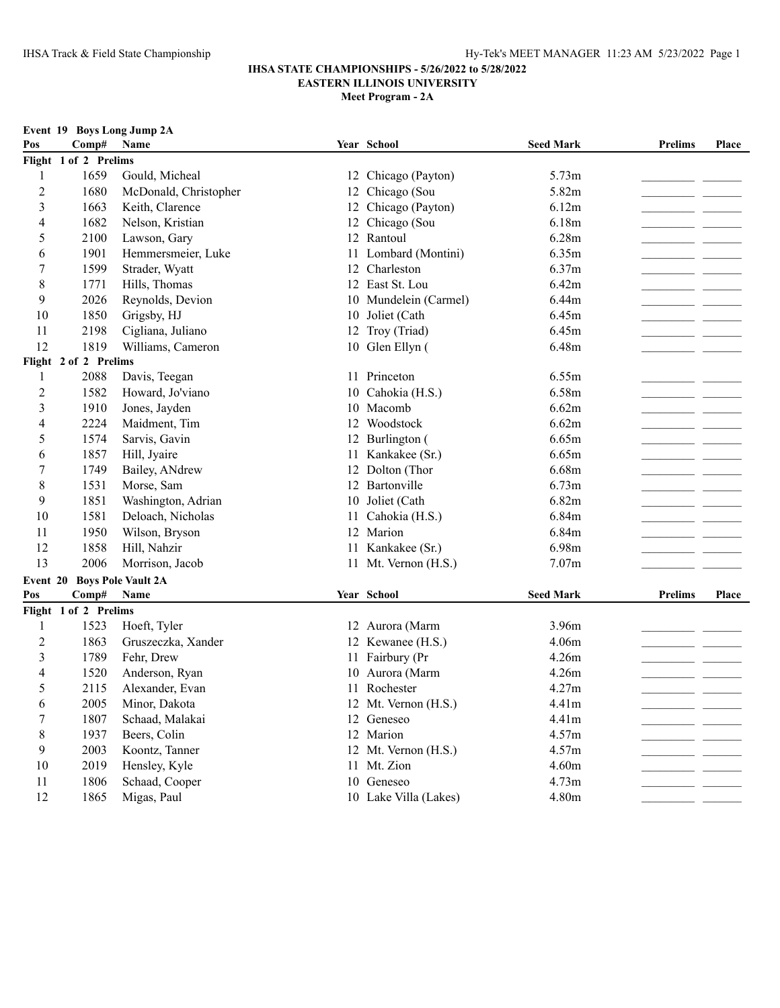| Comp#<br>Year School<br><b>Seed Mark</b><br><b>Prelims</b><br>Pos<br>Name<br>Place<br>Flight 1 of 2 Prelims<br>1659<br>Gould, Micheal<br>5.73m<br>1<br>12 Chicago (Payton)<br>$\overline{2}$<br>1680<br>McDonald, Christopher<br>Chicago (Sou<br>5.82m<br>12<br>3<br>Chicago (Payton)<br>1663<br>Keith, Clarence<br>6.12m<br>12<br>Chicago (Sou<br>1682<br>Nelson, Kristian<br>6.18m<br>4<br>12<br>12 Rantoul<br>6.28m<br>2100<br>Lawson, Gary<br>5<br>1901<br>Hemmersmeier, Luke<br>Lombard (Montini)<br>6.35m<br>6<br>11<br>Charleston<br>1599<br>6.37m<br>7<br>12<br>Strader, Wyatt<br>8<br>1771<br>12 East St. Lou<br>6.42m<br>Hills, Thomas<br>9<br>2026<br>Reynolds, Devion<br>10 Mundelein (Carmel)<br>6.44m<br>6.45m<br>10<br>1850<br>Grigsby, HJ<br>10 Joliet (Cath<br>2198<br>Cigliana, Juliano<br>12 Troy (Triad)<br>6.45m<br>11<br>12<br>1819<br>10 Glen Ellyn (<br>Williams, Cameron<br>6.48m<br>Flight 2 of 2 Prelims<br>2088<br>11 Princeton<br>6.55m<br>1<br>Davis, Teegan<br>1582<br>6.58m<br>$\overline{c}$<br>Howard, Jo'viano<br>10 Cahokia (H.S.)<br>3<br>10 Macomb<br>1910<br>Jones, Jayden<br>6.62m<br>12 Woodstock<br>6.62m<br>4<br>2224<br>Maidment, Tim<br>5<br>1574<br>Sarvis, Gavin<br>12 Burlington (<br>6.65m<br>1857<br>Hill, Jyaire<br>11 Kankakee (Sr.)<br>6.65m<br>6<br>7<br>1749<br>Bailey, ANdrew<br>Dolton (Thor<br>6.68m<br>12<br>12 Bartonville<br>8<br>1531<br>Morse, Sam<br>6.73m<br>10 Joliet (Cath<br>9<br>1851<br>Washington, Adrian<br>6.82m<br>1581<br>10<br>Deloach, Nicholas<br>Cahokia (H.S.)<br>6.84m<br>11<br>12 Marion<br>1950<br>6.84m<br>11<br>Wilson, Bryson<br>12<br>6.98m<br>1858<br>Hill, Nahzir<br>11 Kankakee (Sr.)<br>13<br>2006<br>Morrison, Jacob<br>11 Mt. Vernon (H.S.)<br>7.07m<br><b>Boys Pole Vault 2A</b><br>Event 20 |     |       | Event 19 Boys Long Jump 2A |  |                  |                |              |
|--------------------------------------------------------------------------------------------------------------------------------------------------------------------------------------------------------------------------------------------------------------------------------------------------------------------------------------------------------------------------------------------------------------------------------------------------------------------------------------------------------------------------------------------------------------------------------------------------------------------------------------------------------------------------------------------------------------------------------------------------------------------------------------------------------------------------------------------------------------------------------------------------------------------------------------------------------------------------------------------------------------------------------------------------------------------------------------------------------------------------------------------------------------------------------------------------------------------------------------------------------------------------------------------------------------------------------------------------------------------------------------------------------------------------------------------------------------------------------------------------------------------------------------------------------------------------------------------------------------------------------------------------------------------------------------------------------------------------------------------------------------------------------------------|-----|-------|----------------------------|--|------------------|----------------|--------------|
|                                                                                                                                                                                                                                                                                                                                                                                                                                                                                                                                                                                                                                                                                                                                                                                                                                                                                                                                                                                                                                                                                                                                                                                                                                                                                                                                                                                                                                                                                                                                                                                                                                                                                                                                                                                            |     |       |                            |  |                  |                |              |
|                                                                                                                                                                                                                                                                                                                                                                                                                                                                                                                                                                                                                                                                                                                                                                                                                                                                                                                                                                                                                                                                                                                                                                                                                                                                                                                                                                                                                                                                                                                                                                                                                                                                                                                                                                                            |     |       |                            |  |                  |                |              |
|                                                                                                                                                                                                                                                                                                                                                                                                                                                                                                                                                                                                                                                                                                                                                                                                                                                                                                                                                                                                                                                                                                                                                                                                                                                                                                                                                                                                                                                                                                                                                                                                                                                                                                                                                                                            |     |       |                            |  |                  |                |              |
|                                                                                                                                                                                                                                                                                                                                                                                                                                                                                                                                                                                                                                                                                                                                                                                                                                                                                                                                                                                                                                                                                                                                                                                                                                                                                                                                                                                                                                                                                                                                                                                                                                                                                                                                                                                            |     |       |                            |  |                  |                |              |
|                                                                                                                                                                                                                                                                                                                                                                                                                                                                                                                                                                                                                                                                                                                                                                                                                                                                                                                                                                                                                                                                                                                                                                                                                                                                                                                                                                                                                                                                                                                                                                                                                                                                                                                                                                                            |     |       |                            |  |                  |                |              |
|                                                                                                                                                                                                                                                                                                                                                                                                                                                                                                                                                                                                                                                                                                                                                                                                                                                                                                                                                                                                                                                                                                                                                                                                                                                                                                                                                                                                                                                                                                                                                                                                                                                                                                                                                                                            |     |       |                            |  |                  |                |              |
|                                                                                                                                                                                                                                                                                                                                                                                                                                                                                                                                                                                                                                                                                                                                                                                                                                                                                                                                                                                                                                                                                                                                                                                                                                                                                                                                                                                                                                                                                                                                                                                                                                                                                                                                                                                            |     |       |                            |  |                  |                |              |
|                                                                                                                                                                                                                                                                                                                                                                                                                                                                                                                                                                                                                                                                                                                                                                                                                                                                                                                                                                                                                                                                                                                                                                                                                                                                                                                                                                                                                                                                                                                                                                                                                                                                                                                                                                                            |     |       |                            |  |                  |                |              |
|                                                                                                                                                                                                                                                                                                                                                                                                                                                                                                                                                                                                                                                                                                                                                                                                                                                                                                                                                                                                                                                                                                                                                                                                                                                                                                                                                                                                                                                                                                                                                                                                                                                                                                                                                                                            |     |       |                            |  |                  |                |              |
|                                                                                                                                                                                                                                                                                                                                                                                                                                                                                                                                                                                                                                                                                                                                                                                                                                                                                                                                                                                                                                                                                                                                                                                                                                                                                                                                                                                                                                                                                                                                                                                                                                                                                                                                                                                            |     |       |                            |  |                  |                |              |
|                                                                                                                                                                                                                                                                                                                                                                                                                                                                                                                                                                                                                                                                                                                                                                                                                                                                                                                                                                                                                                                                                                                                                                                                                                                                                                                                                                                                                                                                                                                                                                                                                                                                                                                                                                                            |     |       |                            |  |                  |                |              |
|                                                                                                                                                                                                                                                                                                                                                                                                                                                                                                                                                                                                                                                                                                                                                                                                                                                                                                                                                                                                                                                                                                                                                                                                                                                                                                                                                                                                                                                                                                                                                                                                                                                                                                                                                                                            |     |       |                            |  |                  |                |              |
|                                                                                                                                                                                                                                                                                                                                                                                                                                                                                                                                                                                                                                                                                                                                                                                                                                                                                                                                                                                                                                                                                                                                                                                                                                                                                                                                                                                                                                                                                                                                                                                                                                                                                                                                                                                            |     |       |                            |  |                  |                |              |
|                                                                                                                                                                                                                                                                                                                                                                                                                                                                                                                                                                                                                                                                                                                                                                                                                                                                                                                                                                                                                                                                                                                                                                                                                                                                                                                                                                                                                                                                                                                                                                                                                                                                                                                                                                                            |     |       |                            |  |                  |                |              |
|                                                                                                                                                                                                                                                                                                                                                                                                                                                                                                                                                                                                                                                                                                                                                                                                                                                                                                                                                                                                                                                                                                                                                                                                                                                                                                                                                                                                                                                                                                                                                                                                                                                                                                                                                                                            |     |       |                            |  |                  |                |              |
|                                                                                                                                                                                                                                                                                                                                                                                                                                                                                                                                                                                                                                                                                                                                                                                                                                                                                                                                                                                                                                                                                                                                                                                                                                                                                                                                                                                                                                                                                                                                                                                                                                                                                                                                                                                            |     |       |                            |  |                  |                |              |
|                                                                                                                                                                                                                                                                                                                                                                                                                                                                                                                                                                                                                                                                                                                                                                                                                                                                                                                                                                                                                                                                                                                                                                                                                                                                                                                                                                                                                                                                                                                                                                                                                                                                                                                                                                                            |     |       |                            |  |                  |                |              |
|                                                                                                                                                                                                                                                                                                                                                                                                                                                                                                                                                                                                                                                                                                                                                                                                                                                                                                                                                                                                                                                                                                                                                                                                                                                                                                                                                                                                                                                                                                                                                                                                                                                                                                                                                                                            |     |       |                            |  |                  |                |              |
|                                                                                                                                                                                                                                                                                                                                                                                                                                                                                                                                                                                                                                                                                                                                                                                                                                                                                                                                                                                                                                                                                                                                                                                                                                                                                                                                                                                                                                                                                                                                                                                                                                                                                                                                                                                            |     |       |                            |  |                  |                |              |
|                                                                                                                                                                                                                                                                                                                                                                                                                                                                                                                                                                                                                                                                                                                                                                                                                                                                                                                                                                                                                                                                                                                                                                                                                                                                                                                                                                                                                                                                                                                                                                                                                                                                                                                                                                                            |     |       |                            |  |                  |                |              |
|                                                                                                                                                                                                                                                                                                                                                                                                                                                                                                                                                                                                                                                                                                                                                                                                                                                                                                                                                                                                                                                                                                                                                                                                                                                                                                                                                                                                                                                                                                                                                                                                                                                                                                                                                                                            |     |       |                            |  |                  |                |              |
|                                                                                                                                                                                                                                                                                                                                                                                                                                                                                                                                                                                                                                                                                                                                                                                                                                                                                                                                                                                                                                                                                                                                                                                                                                                                                                                                                                                                                                                                                                                                                                                                                                                                                                                                                                                            |     |       |                            |  |                  |                |              |
|                                                                                                                                                                                                                                                                                                                                                                                                                                                                                                                                                                                                                                                                                                                                                                                                                                                                                                                                                                                                                                                                                                                                                                                                                                                                                                                                                                                                                                                                                                                                                                                                                                                                                                                                                                                            |     |       |                            |  |                  |                |              |
|                                                                                                                                                                                                                                                                                                                                                                                                                                                                                                                                                                                                                                                                                                                                                                                                                                                                                                                                                                                                                                                                                                                                                                                                                                                                                                                                                                                                                                                                                                                                                                                                                                                                                                                                                                                            |     |       |                            |  |                  |                |              |
|                                                                                                                                                                                                                                                                                                                                                                                                                                                                                                                                                                                                                                                                                                                                                                                                                                                                                                                                                                                                                                                                                                                                                                                                                                                                                                                                                                                                                                                                                                                                                                                                                                                                                                                                                                                            |     |       |                            |  |                  |                |              |
|                                                                                                                                                                                                                                                                                                                                                                                                                                                                                                                                                                                                                                                                                                                                                                                                                                                                                                                                                                                                                                                                                                                                                                                                                                                                                                                                                                                                                                                                                                                                                                                                                                                                                                                                                                                            |     |       |                            |  |                  |                |              |
|                                                                                                                                                                                                                                                                                                                                                                                                                                                                                                                                                                                                                                                                                                                                                                                                                                                                                                                                                                                                                                                                                                                                                                                                                                                                                                                                                                                                                                                                                                                                                                                                                                                                                                                                                                                            |     |       |                            |  |                  |                |              |
|                                                                                                                                                                                                                                                                                                                                                                                                                                                                                                                                                                                                                                                                                                                                                                                                                                                                                                                                                                                                                                                                                                                                                                                                                                                                                                                                                                                                                                                                                                                                                                                                                                                                                                                                                                                            |     |       |                            |  |                  |                |              |
|                                                                                                                                                                                                                                                                                                                                                                                                                                                                                                                                                                                                                                                                                                                                                                                                                                                                                                                                                                                                                                                                                                                                                                                                                                                                                                                                                                                                                                                                                                                                                                                                                                                                                                                                                                                            |     |       |                            |  |                  |                |              |
| Year School                                                                                                                                                                                                                                                                                                                                                                                                                                                                                                                                                                                                                                                                                                                                                                                                                                                                                                                                                                                                                                                                                                                                                                                                                                                                                                                                                                                                                                                                                                                                                                                                                                                                                                                                                                                | Pos | Comp# | Name                       |  | <b>Seed Mark</b> | <b>Prelims</b> | <b>Place</b> |
| Flight 1 of 2 Prelims                                                                                                                                                                                                                                                                                                                                                                                                                                                                                                                                                                                                                                                                                                                                                                                                                                                                                                                                                                                                                                                                                                                                                                                                                                                                                                                                                                                                                                                                                                                                                                                                                                                                                                                                                                      |     |       |                            |  |                  |                |              |
| 1523<br>3.96m<br>1<br>Hoeft, Tyler<br>12 Aurora (Marm                                                                                                                                                                                                                                                                                                                                                                                                                                                                                                                                                                                                                                                                                                                                                                                                                                                                                                                                                                                                                                                                                                                                                                                                                                                                                                                                                                                                                                                                                                                                                                                                                                                                                                                                      |     |       |                            |  |                  |                |              |
| $\overline{c}$<br>1863<br>Gruszeczka, Xander<br>12 Kewanee (H.S.)<br>4.06m                                                                                                                                                                                                                                                                                                                                                                                                                                                                                                                                                                                                                                                                                                                                                                                                                                                                                                                                                                                                                                                                                                                                                                                                                                                                                                                                                                                                                                                                                                                                                                                                                                                                                                                 |     |       |                            |  |                  |                |              |
| Fairbury (Pr<br>3<br>1789<br>Fehr, Drew<br>4.26m<br>11                                                                                                                                                                                                                                                                                                                                                                                                                                                                                                                                                                                                                                                                                                                                                                                                                                                                                                                                                                                                                                                                                                                                                                                                                                                                                                                                                                                                                                                                                                                                                                                                                                                                                                                                     |     |       |                            |  |                  |                |              |
| 10 Aurora (Marm<br>1520<br>Anderson, Ryan<br>4.26m<br>4                                                                                                                                                                                                                                                                                                                                                                                                                                                                                                                                                                                                                                                                                                                                                                                                                                                                                                                                                                                                                                                                                                                                                                                                                                                                                                                                                                                                                                                                                                                                                                                                                                                                                                                                    |     |       |                            |  |                  |                |              |
| 5<br>2115<br>Alexander, Evan<br>11 Rochester<br>4.27m                                                                                                                                                                                                                                                                                                                                                                                                                                                                                                                                                                                                                                                                                                                                                                                                                                                                                                                                                                                                                                                                                                                                                                                                                                                                                                                                                                                                                                                                                                                                                                                                                                                                                                                                      |     |       |                            |  |                  |                |              |
| 4.41m<br>2005<br>Minor, Dakota<br>12 Mt. Vernon (H.S.)<br>6                                                                                                                                                                                                                                                                                                                                                                                                                                                                                                                                                                                                                                                                                                                                                                                                                                                                                                                                                                                                                                                                                                                                                                                                                                                                                                                                                                                                                                                                                                                                                                                                                                                                                                                                |     |       |                            |  |                  |                |              |
| $\tau$<br>4.41m<br>1807<br>Schaad, Malakai<br>12 Geneseo                                                                                                                                                                                                                                                                                                                                                                                                                                                                                                                                                                                                                                                                                                                                                                                                                                                                                                                                                                                                                                                                                                                                                                                                                                                                                                                                                                                                                                                                                                                                                                                                                                                                                                                                   |     |       |                            |  |                  |                |              |
| 8<br>1937<br>12 Marion<br>4.57m<br>Beers, Colin                                                                                                                                                                                                                                                                                                                                                                                                                                                                                                                                                                                                                                                                                                                                                                                                                                                                                                                                                                                                                                                                                                                                                                                                                                                                                                                                                                                                                                                                                                                                                                                                                                                                                                                                            |     |       |                            |  |                  |                |              |
| 9<br>2003<br>Koontz, Tanner<br>12 Mt. Vernon (H.S.)<br>4.57m                                                                                                                                                                                                                                                                                                                                                                                                                                                                                                                                                                                                                                                                                                                                                                                                                                                                                                                                                                                                                                                                                                                                                                                                                                                                                                                                                                                                                                                                                                                                                                                                                                                                                                                               |     |       |                            |  |                  |                |              |
| 10<br>2019<br>Hensley, Kyle<br>11 Mt. Zion<br>4.60m                                                                                                                                                                                                                                                                                                                                                                                                                                                                                                                                                                                                                                                                                                                                                                                                                                                                                                                                                                                                                                                                                                                                                                                                                                                                                                                                                                                                                                                                                                                                                                                                                                                                                                                                        |     |       |                            |  |                  |                |              |
| 11<br>1806<br>Schaad, Cooper<br>10 Geneseo<br>4.73m                                                                                                                                                                                                                                                                                                                                                                                                                                                                                                                                                                                                                                                                                                                                                                                                                                                                                                                                                                                                                                                                                                                                                                                                                                                                                                                                                                                                                                                                                                                                                                                                                                                                                                                                        |     |       |                            |  |                  |                |              |
| 12<br>4.80m<br>1865<br>Migas, Paul<br>10 Lake Villa (Lakes)                                                                                                                                                                                                                                                                                                                                                                                                                                                                                                                                                                                                                                                                                                                                                                                                                                                                                                                                                                                                                                                                                                                                                                                                                                                                                                                                                                                                                                                                                                                                                                                                                                                                                                                                |     |       |                            |  |                  |                |              |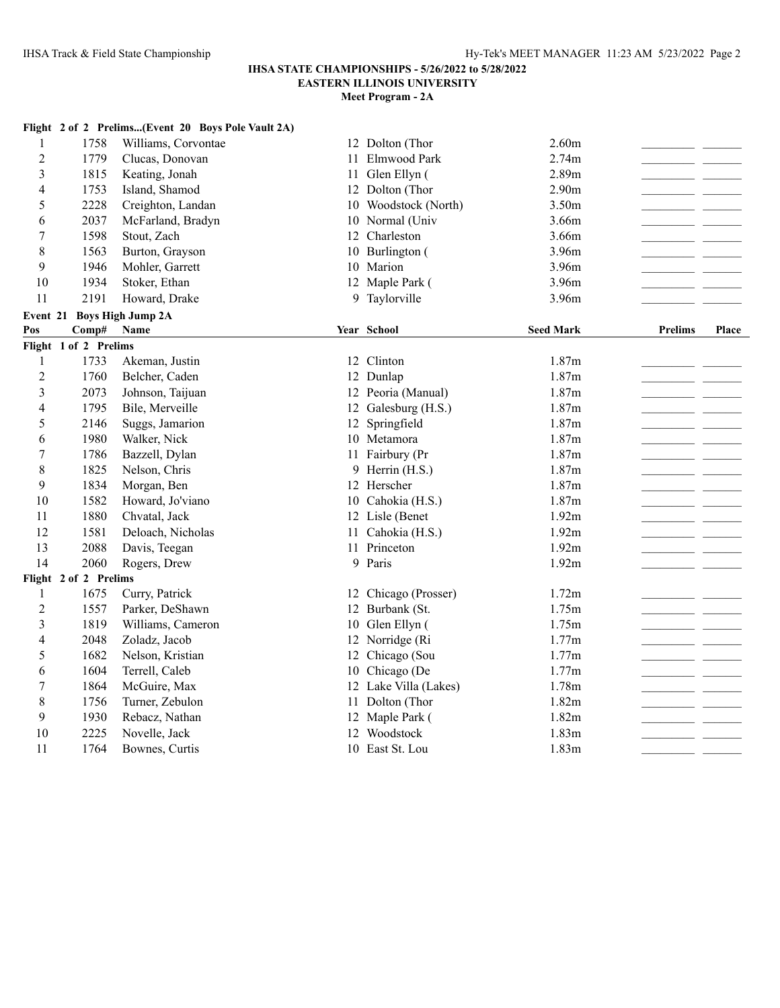# **IHSA STATE CHAMPIONSHIPS - 5/26/2022 to 5/28/2022**

**EASTERN ILLINOIS UNIVERSITY**

|                |                            | Flight 2 of 2 Prelims(Event 20 Boys Pole Vault 2A) |                       |                   |                 |       |
|----------------|----------------------------|----------------------------------------------------|-----------------------|-------------------|-----------------|-------|
| 1              | 1758                       | Williams, Corvontae                                | 12 Dolton (Thor       | 2.60m             |                 |       |
| $\overline{2}$ | 1779                       | Clucas, Donovan                                    | 11 Elmwood Park       | 2.74m             |                 |       |
| 3              | 1815                       | Keating, Jonah                                     | 11 Glen Ellyn (       | 2.89m             |                 |       |
| $\overline{4}$ | 1753                       | Island, Shamod                                     | 12 Dolton (Thor       | 2.90 <sub>m</sub> |                 |       |
| 5              | 2228                       | Creighton, Landan                                  | 10 Woodstock (North)  | 3.50 <sub>m</sub> |                 |       |
| 6              | 2037                       | McFarland, Bradyn                                  | 10 Normal (Univ       | 3.66m             |                 |       |
| 7              | 1598                       | Stout, Zach                                        | 12 Charleston         | 3.66m             |                 |       |
| 8              | 1563                       | Burton, Grayson                                    | 10 Burlington (       | 3.96m             |                 |       |
| 9              | 1946                       | Mohler, Garrett                                    | 10 Marion             | 3.96m             |                 |       |
| 10             | 1934                       | Stoker, Ethan                                      | 12 Maple Park (       | 3.96m             |                 |       |
| 11             | 2191                       | Howard, Drake                                      | 9 Taylorville         | 3.96m             |                 |       |
|                | Event 21 Boys High Jump 2A |                                                    |                       |                   |                 |       |
| Pos            | Comp#                      | <b>Name</b>                                        | Year School           | <b>Seed Mark</b>  | <b>Prelims</b>  | Place |
|                | Flight 1 of 2 Prelims      |                                                    |                       |                   |                 |       |
| $\mathbf{1}$   | 1733                       | Akeman, Justin                                     | 12 Clinton            | 1.87m             |                 |       |
| $\overline{2}$ | 1760                       | Belcher, Caden                                     | 12 Dunlap             | 1.87m             |                 |       |
| 3              | 2073                       | Johnson, Taijuan                                   | 12 Peoria (Manual)    | 1.87m             |                 |       |
| 4              | 1795                       | Bile, Merveille                                    | 12 Galesburg (H.S.)   | 1.87m             |                 |       |
| 5              | 2146                       | Suggs, Jamarion                                    | 12 Springfield        | 1.87m             |                 |       |
| 6              | 1980                       | Walker, Nick                                       | 10 Metamora           | 1.87m             | - -             |       |
| $\tau$         | 1786                       | Bazzell, Dylan                                     | 11 Fairbury (Pr       | 1.87m             | and the control |       |
| 8              | 1825                       | Nelson, Chris                                      | 9 Herrin (H.S.)       | 1.87m             |                 |       |
| 9              | 1834                       | Morgan, Ben                                        | 12 Herscher           | 1.87m             |                 |       |
| 10             | 1582                       | Howard, Jo'viano                                   | 10 Cahokia (H.S.)     | 1.87m             |                 |       |
| 11             | 1880                       | Chvatal, Jack                                      | 12 Lisle (Benet       | 1.92m             |                 |       |
| 12             | 1581                       | Deloach, Nicholas                                  | 11 Cahokia (H.S.)     | 1.92m             |                 |       |
| 13             | 2088                       | Davis, Teegan                                      | 11 Princeton          | 1.92m             |                 |       |
| 14             | 2060                       | Rogers, Drew                                       | 9 Paris               | 1.92m             |                 |       |
|                | Flight 2 of 2 Prelims      |                                                    |                       |                   |                 |       |
| $\mathbf{1}$   | 1675                       | Curry, Patrick                                     | 12 Chicago (Prosser)  | 1.72m             |                 |       |
| $\overline{c}$ | 1557                       | Parker, DeShawn                                    | 12 Burbank (St.       | 1.75m             |                 |       |
| 3              | 1819                       | Williams, Cameron                                  | 10 Glen Ellyn (       | 1.75m             | and the state   |       |
| 4              | 2048                       | Zoladz, Jacob                                      | 12 Norridge (Ri       | 1.77m             |                 |       |
| 5              | 1682                       | Nelson, Kristian                                   | 12 Chicago (Sou       | 1.77m             |                 |       |
| 6              | 1604                       | Terrell, Caleb                                     | 10 Chicago (De        | 1.77m             |                 |       |
| 7              | 1864                       | McGuire, Max                                       | 12 Lake Villa (Lakes) | 1.78m             |                 |       |
| 8              | 1756                       | Turner, Zebulon                                    | 11 Dolton (Thor       | 1.82m             | and the state   |       |
| 9              | 1930                       | Rebacz, Nathan                                     | 12 Maple Park (       | 1.82m             |                 |       |
| 10             | 2225                       | Novelle, Jack                                      | 12 Woodstock          | 1.83m             |                 |       |
| 11             | 1764                       | Bownes, Curtis                                     | 10 East St. Lou       | 1.83m             | - -             |       |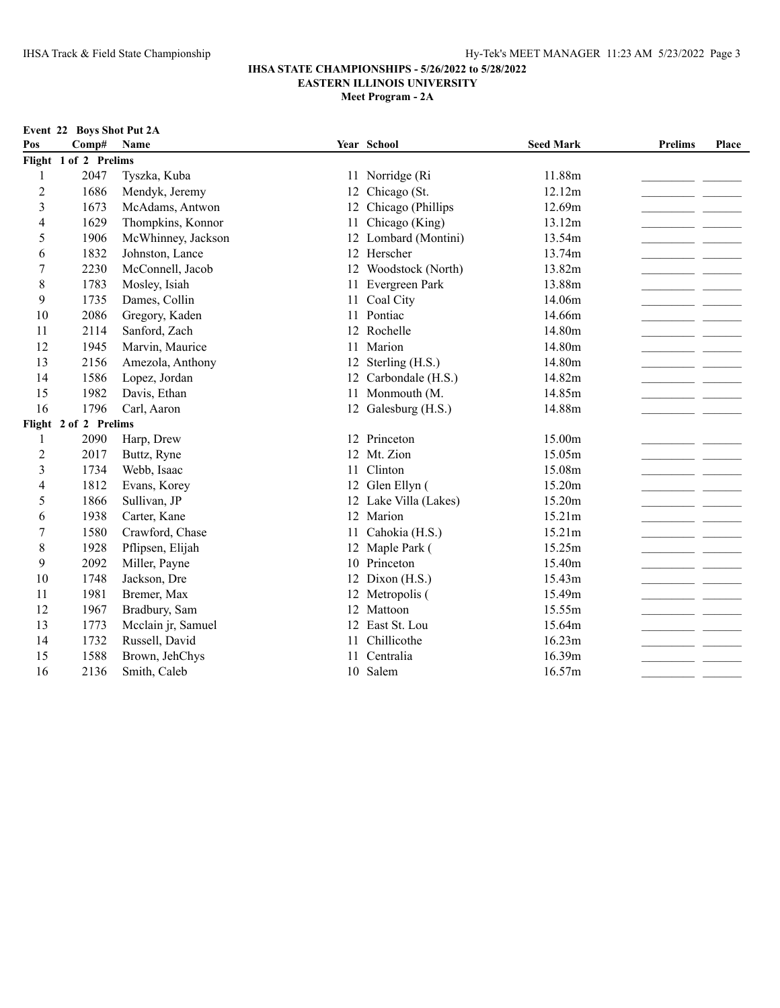|                | Event 22 Boys Shot Put 2A |                    |    |                       |                  |                |       |  |  |
|----------------|---------------------------|--------------------|----|-----------------------|------------------|----------------|-------|--|--|
| Pos            | Comp#                     | Name               |    | Year School           | <b>Seed Mark</b> | <b>Prelims</b> | Place |  |  |
|                | Flight 1 of 2 Prelims     |                    |    |                       |                  |                |       |  |  |
| 1              | 2047                      | Tyszka, Kuba       |    | 11 Norridge (Ri       | 11.88m           |                |       |  |  |
| $\overline{c}$ | 1686                      | Mendyk, Jeremy     | 12 | Chicago (St.          | 12.12m           |                |       |  |  |
| 3              | 1673                      | McAdams, Antwon    | 12 | Chicago (Phillips     | 12.69m           |                |       |  |  |
| 4              | 1629                      | Thompkins, Konnor  | 11 | Chicago (King)        | 13.12m           |                |       |  |  |
| 5              | 1906                      | McWhinney, Jackson |    | 12 Lombard (Montini)  | 13.54m           |                |       |  |  |
| 6              | 1832                      | Johnston, Lance    |    | 12 Herscher           | 13.74m           |                |       |  |  |
| 7              | 2230                      | McConnell, Jacob   |    | 12 Woodstock (North)  | 13.82m           |                |       |  |  |
| 8              | 1783                      | Mosley, Isiah      | 11 | Evergreen Park        | 13.88m           |                |       |  |  |
| 9              | 1735                      | Dames, Collin      |    | 11 Coal City          | 14.06m           |                |       |  |  |
| 10             | 2086                      | Gregory, Kaden     |    | 11 Pontiac            | 14.66m           |                |       |  |  |
| 11             | 2114                      | Sanford, Zach      | 12 | Rochelle              | 14.80m           |                |       |  |  |
| 12             | 1945                      | Marvin, Maurice    | 11 | Marion                | 14.80m           |                |       |  |  |
| 13             | 2156                      | Amezola, Anthony   |    | 12 Sterling (H.S.)    | 14.80m           |                |       |  |  |
| 14             | 1586                      | Lopez, Jordan      |    | 12 Carbondale (H.S.)  | 14.82m           |                |       |  |  |
| 15             | 1982                      | Davis, Ethan       |    | 11 Monmouth (M.       | 14.85m           |                |       |  |  |
| 16             | 1796                      | Carl, Aaron        |    | 12 Galesburg (H.S.)   | 14.88m           |                |       |  |  |
|                | Flight 2 of 2 Prelims     |                    |    |                       |                  |                |       |  |  |
| $\mathbf{1}$   | 2090                      | Harp, Drew         |    | 12 Princeton          | 15.00m           |                |       |  |  |
| $\overline{2}$ | 2017                      | Buttz, Ryne        |    | 12 Mt. Zion           | 15.05m           |                |       |  |  |
| 3              | 1734                      | Webb, Isaac        | 11 | Clinton               | 15.08m           |                |       |  |  |
| 4              | 1812                      | Evans, Korey       |    | 12 Glen Ellyn (       | 15.20m           |                |       |  |  |
| 5              | 1866                      | Sullivan, JP       |    | 12 Lake Villa (Lakes) | 15.20m           |                |       |  |  |
| 6              | 1938                      | Carter, Kane       |    | 12 Marion             | 15.21m           |                |       |  |  |
| 7              | 1580                      | Crawford, Chase    | 11 | Cahokia (H.S.)        | 15.21m           |                |       |  |  |
| $\,$ 8 $\,$    | 1928                      | Pflipsen, Elijah   |    | 12 Maple Park (       | 15.25m           |                |       |  |  |
| 9              | 2092                      | Miller, Payne      |    | 10 Princeton          | 15.40m           |                |       |  |  |
| 10             | 1748                      | Jackson, Dre       |    | 12 Dixon (H.S.)       | 15.43m           |                |       |  |  |
| 11             | 1981                      | Bremer, Max        |    | 12 Metropolis (       | 15.49m           |                |       |  |  |
| 12             | 1967                      | Bradbury, Sam      |    | 12 Mattoon            | 15.55m           |                |       |  |  |
| 13             | 1773                      | Mcclain jr, Samuel |    | 12 East St. Lou       | 15.64m           |                |       |  |  |
| 14             | 1732                      | Russell, David     | 11 | Chillicothe           | 16.23m           |                |       |  |  |
| 15             | 1588                      | Brown, JehChys     | 11 | Centralia             | 16.39m           |                |       |  |  |
| 16             | 2136                      | Smith, Caleb       |    | 10 Salem              | 16.57m           | $\sim$         |       |  |  |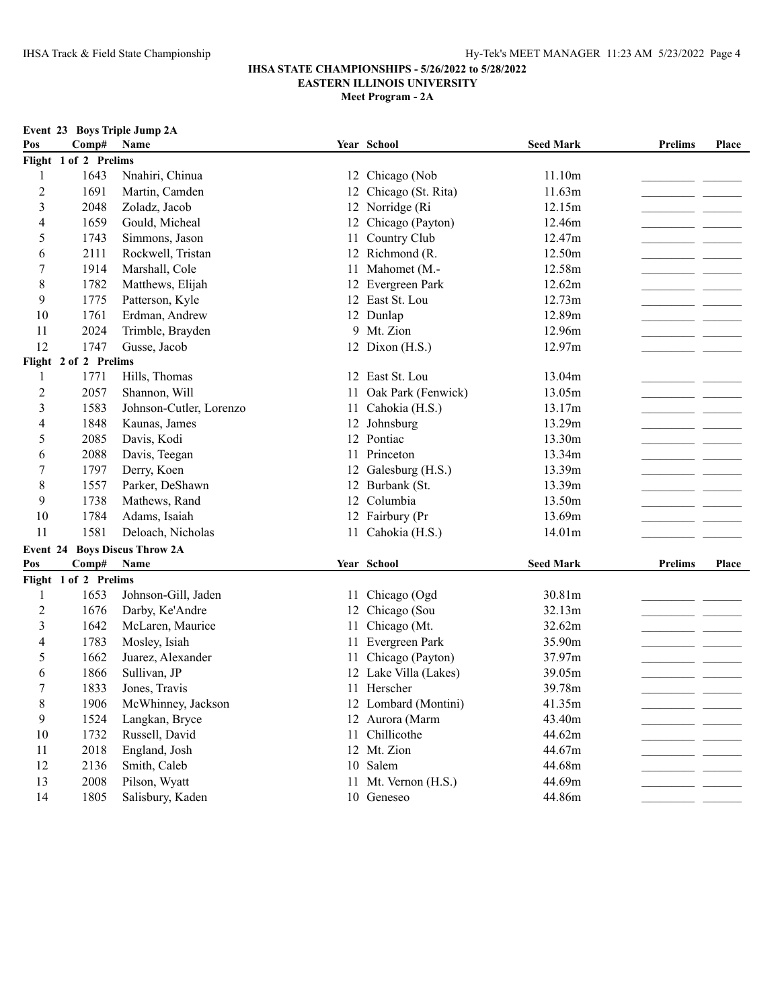**Meet Program - 2A**

|                |                       | Event 23 Boys Triple Jump 2A  |    |                       |                  |                                                      |       |
|----------------|-----------------------|-------------------------------|----|-----------------------|------------------|------------------------------------------------------|-------|
| Pos            | Comp#                 | Name                          |    | Year School           | <b>Seed Mark</b> | <b>Prelims</b>                                       | Place |
|                | Flight 1 of 2 Prelims |                               |    |                       |                  |                                                      |       |
| $\mathbf{1}$   | 1643                  | Nnahiri, Chinua               |    | 12 Chicago (Nob       | 11.10m           |                                                      |       |
| $\overline{2}$ | 1691                  | Martin, Camden                |    | 12 Chicago (St. Rita) | 11.63m           | - -                                                  |       |
| 3              | 2048                  | Zoladz, Jacob                 |    | 12 Norridge (Ri       | 12.15m           |                                                      |       |
| $\overline{4}$ | 1659                  | Gould, Micheal                |    | 12 Chicago (Payton)   | 12.46m           | ___                                                  |       |
| 5              | 1743                  | Simmons, Jason                |    | 11 Country Club       | 12.47m           |                                                      |       |
| 6              | 2111                  | Rockwell, Tristan             |    | 12 Richmond (R.       | 12.50m           |                                                      |       |
| 7              | 1914                  | Marshall, Cole                |    | 11 Mahomet (M.-       | 12.58m           |                                                      |       |
| 8              | 1782                  | Matthews, Elijah              |    | 12 Evergreen Park     | 12.62m           |                                                      |       |
| 9              | 1775                  | Patterson, Kyle               |    | 12 East St. Lou       | 12.73m           |                                                      |       |
| 10             | 1761                  | Erdman, Andrew                |    | 12 Dunlap             | 12.89m           |                                                      |       |
| 11             | 2024                  | Trimble, Brayden              |    | 9 Mt. Zion            | 12.96m           |                                                      |       |
| 12             | 1747                  | Gusse, Jacob                  |    | 12 Dixon (H.S.)       | 12.97m           |                                                      |       |
|                | Flight 2 of 2 Prelims |                               |    |                       |                  |                                                      |       |
| 1              | 1771                  | Hills, Thomas                 |    | 12 East St. Lou       | 13.04m           | $\overline{\phantom{a}}$                             |       |
| $\overline{2}$ | 2057                  | Shannon, Will                 |    | 11 Oak Park (Fenwick) | 13.05m           | and the state                                        |       |
| $\mathfrak{Z}$ | 1583                  | Johnson-Cutler, Lorenzo       | 11 | Cahokia (H.S.)        | 13.17m           |                                                      |       |
| $\overline{4}$ | 1848                  | Kaunas, James                 |    | 12 Johnsburg          | 13.29m           |                                                      |       |
| 5              | 2085                  | Davis, Kodi                   |    | 12 Pontiac            | 13.30m           |                                                      |       |
| 6              | 2088                  | Davis, Teegan                 |    | 11 Princeton          | 13.34m           |                                                      |       |
| $\tau$         | 1797                  | Derry, Koen                   |    | 12 Galesburg (H.S.)   | 13.39m           | <u> 1989 - Andrea State Barnett, ameri</u> kansk kon |       |
| 8              | 1557                  | Parker, DeShawn               |    | 12 Burbank (St.       | 13.39m           | - -                                                  |       |
| 9              | 1738                  | Mathews, Rand                 |    | 12 Columbia           | 13.50m           |                                                      |       |
| 10             | 1784                  | Adams, Isaiah                 |    | 12 Fairbury (Pr       | 13.69m           |                                                      |       |
| 11             | 1581                  | Deloach, Nicholas             |    | 11 Cahokia (H.S.)     | 14.01m           |                                                      |       |
|                |                       | Event 24 Boys Discus Throw 2A |    |                       |                  |                                                      |       |
| Pos            | Comp#                 | <b>Name</b>                   |    | Year School           | <b>Seed Mark</b> | <b>Prelims</b>                                       | Place |
|                | Flight 1 of 2 Prelims |                               |    |                       |                  |                                                      |       |
| 1              | 1653                  | Johnson-Gill, Jaden           |    | 11 Chicago (Ogd       | 30.81m           |                                                      |       |
| $\overline{c}$ | 1676                  | Darby, Ke'Andre               |    | 12 Chicago (Sou       | 32.13m           |                                                      |       |
| 3              | 1642                  | McLaren, Maurice              | 11 | Chicago (Mt.          | 32.62m           |                                                      |       |
| $\overline{4}$ | 1783                  | Mosley, Isiah                 |    | 11 Evergreen Park     | 35.90m           |                                                      |       |
| 5              | 1662                  | Juarez, Alexander             | 11 | Chicago (Payton)      | 37.97m           |                                                      |       |
| 6              | 1866                  | Sullivan, JP                  |    | 12 Lake Villa (Lakes) | 39.05m           |                                                      |       |
| $\tau$         | 1833                  | Jones, Travis                 | 11 | Herscher              | 39.78m           |                                                      |       |
| 8              | 1906                  | McWhinney, Jackson            |    | 12 Lombard (Montini)  | 41.35m           |                                                      |       |
| 9              | 1524                  | Langkan, Bryce                |    | 12 Aurora (Marm       | 43.40m           |                                                      |       |
| 10             | 1732                  | Russell, David                |    | 11 Chillicothe        | 44.62m           |                                                      |       |
| 11             | 2018                  | England, Josh                 |    | 12 Mt. Zion           | 44.67m           |                                                      |       |
| 12             | 2136                  | Smith, Caleb                  |    | 10 Salem              | 44.68m           |                                                      |       |
| 13             | 2008                  | Pilson, Wyatt                 |    | 11 Mt. Vernon (H.S.)  | 44.69m           |                                                      |       |

14 1805 Salisbury, Kaden 10 Geneseo 44.86m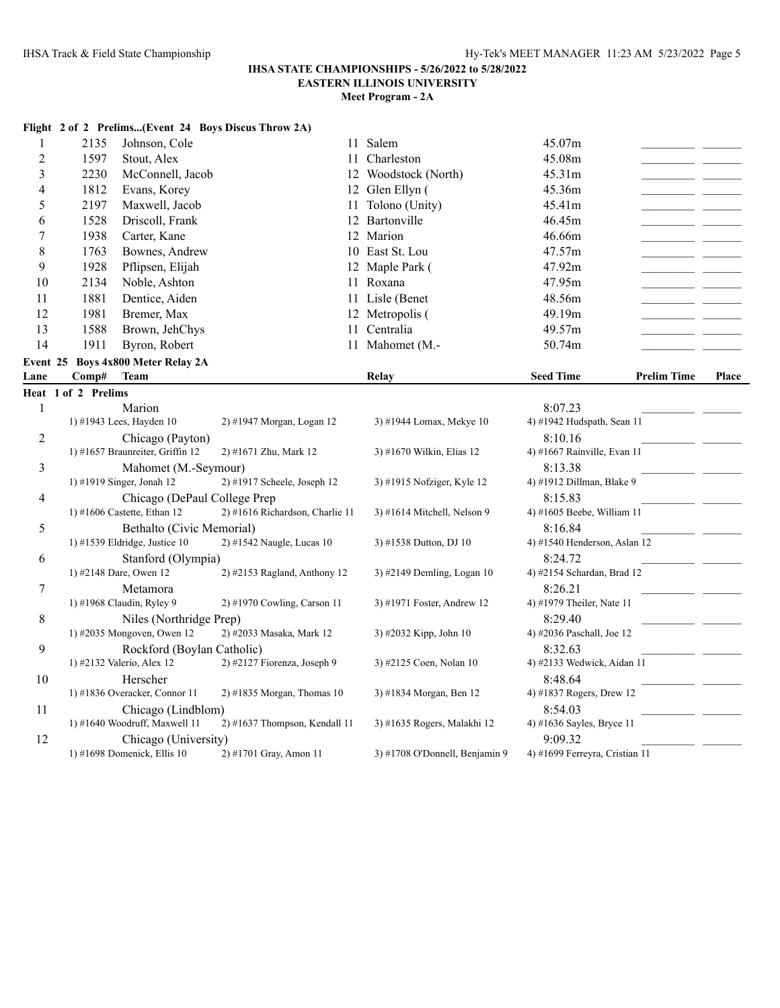**Flight 2 of 2 Prelims...(Event 24 Boys Discus Throw 2A)**

### **IHSA STATE CHAMPIONSHIPS - 5/26/2022 to 5/28/2022 EASTERN ILLINOIS UNIVERSITY**

| 1              | 2135                | Johnson, Cole                                                | 11                              | Salem                          | 45.07m                                  |                    |              |
|----------------|---------------------|--------------------------------------------------------------|---------------------------------|--------------------------------|-----------------------------------------|--------------------|--------------|
| $\overline{c}$ | 1597                | Stout, Alex                                                  |                                 | 11 Charleston                  | 45.08m                                  |                    |              |
| 3              | 2230                | McConnell, Jacob                                             |                                 | 12 Woodstock (North)           | 45.31m                                  |                    |              |
| 4              | 1812                | Evans, Korey                                                 |                                 | 12 Glen Ellyn (                | 45.36m                                  |                    |              |
| 5              | 2197                | Maxwell, Jacob                                               | 11                              | Tolono (Unity)                 | 45.41m                                  |                    |              |
| 6              | 1528                | Driscoll, Frank                                              |                                 | 12 Bartonville                 | 46.45m                                  |                    |              |
| 7              | 1938                | Carter, Kane                                                 |                                 | 12 Marion                      | 46.66m                                  |                    |              |
| 8              | 1763                | Bownes, Andrew                                               |                                 | 10 East St. Lou                | 47.57m                                  |                    |              |
| 9              | 1928                | Pflipsen, Elijah                                             |                                 | 12 Maple Park (                | 47.92m                                  |                    |              |
| 10             | 2134                | Noble, Ashton                                                |                                 | 11 Roxana                      | 47.95m                                  |                    |              |
| 11             | 1881                | Dentice, Aiden                                               |                                 | 11 Lisle (Benet                | 48.56m                                  |                    |              |
| 12             | 1981                | Bremer, Max                                                  |                                 | 12 Metropolis (                | 49.19m                                  |                    |              |
| 13             | 1588                | Brown, JehChys                                               | 11                              | Centralia                      | 49.57m                                  |                    |              |
| 14             | 1911                | Byron, Robert                                                |                                 | 11 Mahomet (M.-                | 50.74m                                  |                    |              |
| Event 25       |                     | <b>Boys 4x800 Meter Relay 2A</b>                             |                                 |                                |                                         |                    |              |
| Lane           | Comp#               | <b>Team</b>                                                  |                                 | Relay                          | <b>Seed Time</b>                        | <b>Prelim Time</b> | <b>Place</b> |
|                | Heat 1 of 2 Prelims |                                                              |                                 |                                |                                         |                    |              |
| $\mathbf{1}$   |                     | Marion                                                       |                                 |                                | 8:07.23                                 |                    |              |
|                |                     | 1) #1943 Lees, Hayden 10                                     | 2) #1947 Morgan, Logan 12       | 3) #1944 Lomax, Mekye 10       | 4) #1942 Hudspath, Sean 11              |                    |              |
| $\overline{c}$ |                     | Chicago (Payton)                                             |                                 |                                | 8:10.16                                 |                    |              |
|                |                     | 1) #1657 Braunreiter, Griffin 12                             | 2) #1671 Zhu, Mark 12           | 3) #1670 Wilkin, Elias 12      | 4) #1667 Rainville, Evan 11             |                    |              |
| 3              |                     | Mahomet (M.-Seymour)                                         |                                 |                                | 8:13.38                                 |                    |              |
|                |                     | 1) #1919 Singer, Jonah 12                                    | 2) #1917 Scheele, Joseph 12     | 3) #1915 Nofziger, Kyle 12     | 4) #1912 Dillman, Blake 9               |                    |              |
| 4              |                     | Chicago (DePaul College Prep                                 |                                 |                                | 8:15.83                                 |                    |              |
|                |                     | 1) #1606 Castette, Ethan 12                                  | 2) #1616 Richardson, Charlie 11 | 3) #1614 Mitchell, Nelson 9    | 4) #1605 Beebe, William 11              |                    |              |
| 5              |                     | Bethalto (Civic Memorial)<br>1) #1539 Eldridge, Justice $10$ | 2) #1542 Naugle, Lucas 10       | 3) #1538 Dutton, DJ 10         | 8:16.84<br>4) #1540 Henderson, Aslan 12 |                    |              |
| 6              |                     | Stanford (Olympia)                                           |                                 |                                | 8:24.72                                 |                    |              |
|                |                     | 1) #2148 Dare, Owen 12                                       | 2) #2153 Ragland, Anthony 12    | 3) #2149 Demling, Logan 10     | 4) #2154 Schardan, Brad 12              |                    |              |
| 7              |                     | Metamora                                                     |                                 |                                | 8:26.21                                 |                    |              |
|                |                     | 1) #1968 Claudin, Ryley 9                                    | 2) #1970 Cowling, Carson 11     | 3) #1971 Foster, Andrew 12     | 4) #1979 Theiler, Nate 11               |                    |              |
| 8              |                     | Niles (Northridge Prep)                                      |                                 |                                | 8:29.40                                 |                    |              |
|                |                     | 1) #2035 Mongoven, Owen 12                                   | 2) #2033 Masaka, Mark 12        | 3) #2032 Kipp, John 10         | 4) #2036 Paschall, Joe 12               |                    |              |
| 9              |                     | Rockford (Boylan Catholic)                                   |                                 |                                | 8:32.63                                 |                    |              |
|                |                     | 1) #2132 Valerio, Alex 12                                    | 2) #2127 Fiorenza, Joseph 9     | 3) #2125 Coen, Nolan 10        | 4) #2133 Wedwick, Aidan 11              |                    |              |
| 10             |                     | Herscher                                                     |                                 |                                | 8:48.64                                 |                    |              |
|                |                     | 1) #1836 Overacker, Connor 11                                | $2)$ #1835 Morgan, Thomas 10    | 3) #1834 Morgan, Ben 12        | 4) #1837 Rogers, Drew 12                |                    |              |
| 11             |                     | Chicago (Lindblom)                                           |                                 |                                | 8:54.03                                 |                    |              |
|                |                     | 1) #1640 Woodruff, Maxwell 11                                | $2)$ #1637 Thompson, Kendall 11 | 3) #1635 Rogers, Malakhi 12    | 4) #1636 Sayles, Bryce 11               |                    |              |
| 12             |                     | Chicago (University)                                         |                                 |                                | 9:09.32                                 |                    |              |
|                |                     | 1) #1698 Domenick, Ellis $10$                                | 2) #1701 Gray, Amon 11          | 3) #1708 O'Donnell, Benjamin 9 | 4) #1699 Ferreyra, Cristian 11          |                    |              |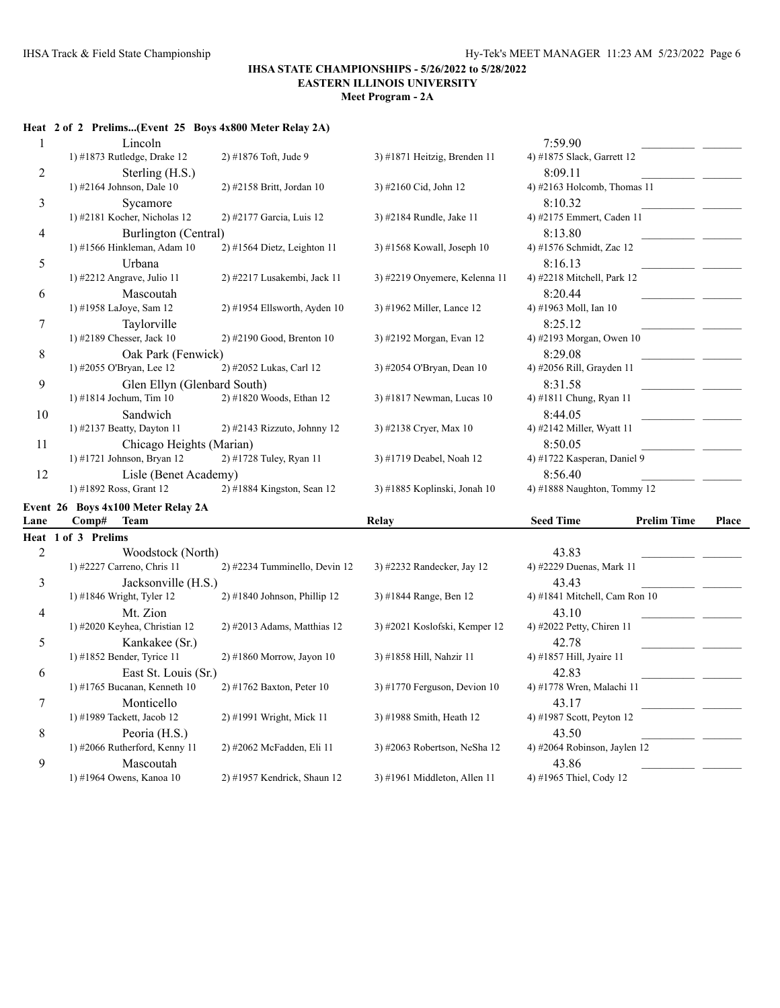**Meet Program - 2A**

## **Heat 2 of 2 Prelims...(Event 25 Boys 4x800 Meter Relay 2A)**

| $\mathbf{1}$   | Lincoln                            |                                |                                | 7:59.90                                |       |
|----------------|------------------------------------|--------------------------------|--------------------------------|----------------------------------------|-------|
|                | 1) #1873 Rutledge, Drake 12        | 2) #1876 Toft, Jude 9          | 3) #1871 Heitzig, Brenden 11   | 4) #1875 Slack, Garrett 12             |       |
| 2              | Sterling (H.S.)                    |                                |                                | 8:09.11                                |       |
|                | 1) #2164 Johnson, Dale 10          | 2) #2158 Britt, Jordan 10      | 3) #2160 Cid, John 12          | 4) #2163 Holcomb, Thomas 11            |       |
| 3              | Sycamore                           |                                |                                | 8:10.32                                |       |
|                | 1) #2181 Kocher, Nicholas 12       | 2) #2177 Garcia, Luis 12       | 3) #2184 Rundle, Jake 11       | 4) #2175 Emmert, Caden 11              |       |
| 4              | Burlington (Central)               |                                |                                | 8:13.80                                |       |
|                | 1) #1566 Hinkleman, Adam 10        | $2)$ #1564 Dietz, Leighton 11  | 3) #1568 Kowall, Joseph 10     | 4) #1576 Schmidt, Zac 12               |       |
| 5              | Urbana                             |                                |                                | 8:16.13                                |       |
|                | 1) #2212 Angrave, Julio 11         | 2) #2217 Lusakembi, Jack 11    | 3) #2219 Onyemere, Kelenna 11  | 4) #2218 Mitchell, Park 12             |       |
| 6              | Mascoutah                          |                                |                                | 8:20.44                                |       |
|                | 1) #1958 LaJoye, Sam 12            | 2) #1954 Ellsworth, Ayden 10   | 3) #1962 Miller, Lance 12      | 4) #1963 Moll, Ian 10                  |       |
| 7              | Taylorville                        |                                |                                | 8:25.12                                |       |
|                | 1) #2189 Chesser, Jack 10          | 2) #2190 Good, Brenton 10      | 3) #2192 Morgan, Evan 12       | 4) #2193 Morgan, Owen 10               |       |
| 8              | Oak Park (Fenwick)                 |                                |                                | 8:29.08                                |       |
|                | 1) #2055 O'Bryan, Lee 12           | 2) #2052 Lukas, Carl 12        | 3) #2054 O'Bryan, Dean 10      | 4) #2056 Rill, Grayden 11              |       |
| 9              | Glen Ellyn (Glenbard South)        |                                |                                | 8:31.58                                |       |
|                | 1) #1814 Jochum, Tim 10            | 2) #1820 Woods, Ethan 12       | 3) #1817 Newman, Lucas 10      | 4) #1811 Chung, Ryan 11                |       |
| 10             | Sandwich                           |                                |                                | 8:44.05                                |       |
|                | 1) #2137 Beatty, Dayton 11         | 2) #2143 Rizzuto, Johnny 12    | 3) #2138 Cryer, Max 10         | 4) #2142 Miller, Wyatt 11              |       |
| 11             | Chicago Heights (Marian)           |                                |                                | 8:50.05                                |       |
|                | 1) #1721 Johnson, Bryan 12         | 2) #1728 Tuley, Ryan 11        | 3) #1719 Deabel, Noah 12       | 4) #1722 Kasperan, Daniel 9            |       |
| 12             | Lisle (Benet Academy)              |                                |                                | 8:56.40                                |       |
|                | 1) #1892 Ross, Grant 12            | $2)$ #1884 Kingston, Sean 12   | 3) #1885 Koplinski, Jonah 10   | 4) #1888 Naughton, Tommy 12            |       |
|                | Event 26 Boys 4x100 Meter Relay 2A |                                |                                |                                        |       |
| Lane           | Comp#<br><b>Team</b>               |                                | Relay                          | <b>Seed Time</b><br><b>Prelim Time</b> | Place |
|                | Heat 1 of 3 Prelims                |                                |                                |                                        |       |
| $\overline{2}$ | Woodstock (North)                  |                                |                                | 43.83                                  |       |
|                | 1) #2227 Carreno, Chris 11         | 2) #2234 Tumminello, Devin 12  | 3) #2232 Randecker, Jay 12     | 4) #2229 Duenas, Mark 11               |       |
| 3              | Jacksonville (H.S.)                |                                |                                | 43.43                                  |       |
|                | 1) #1846 Wright, Tyler 12          | $2)$ #1840 Johnson, Phillip 12 | 3) #1844 Range, Ben 12         | 4) #1841 Mitchell, Cam Ron 10          |       |
| 4              | Mt. Zion                           |                                |                                | 43.10                                  |       |
|                | 1) #2020 Keyhea, Christian 12      | $2)$ #2013 Adams, Matthias 12  | 3) #2021 Koslofski, Kemper 12  | 4) #2022 Petty, Chiren 11              |       |
| 5              | Kankakee (Sr.)                     |                                |                                | 42.78                                  |       |
|                | 1) #1852 Bender, Tyrice 11         | 2) #1860 Morrow, Jayon 10      | 3) #1858 Hill, Nahzir 11       | 4) #1857 Hill, Jyaire 11               |       |
| 6              | East St. Louis (Sr.)               |                                |                                | 42.83                                  |       |
|                | 1) #1765 Bucanan, Kenneth 10       | $2)$ #1762 Baxton, Peter 10    | 3) #1770 Ferguson, Devion $10$ | 4) #1778 Wren, Malachi 11              |       |
| $\tau$         | Monticello                         |                                |                                | 43.17                                  |       |
|                | 1) #1989 Tackett, Jacob 12         | 2) #1991 Wright, Mick 11       | 3) #1988 Smith, Heath 12       | 4) #1987 Scott, Peyton 12              |       |
| 8              | Peoria (H.S.)                      |                                |                                | 43.50                                  |       |
|                | 1) #2066 Rutherford, Kenny 11      | 2) #2062 McFadden, Eli 11      | 3) #2063 Robertson, NeSha 12   | 4) #2064 Robinson, Jaylen 12           |       |
| 9              | Mascoutah                          |                                |                                | 43.86                                  |       |
|                | 1) #1964 Owens, Kanoa 10           | 2) #1957 Kendrick, Shaun 12    | $3)$ #1961 Middleton, Allen 11 | 4) #1965 Thiel, Cody 12                |       |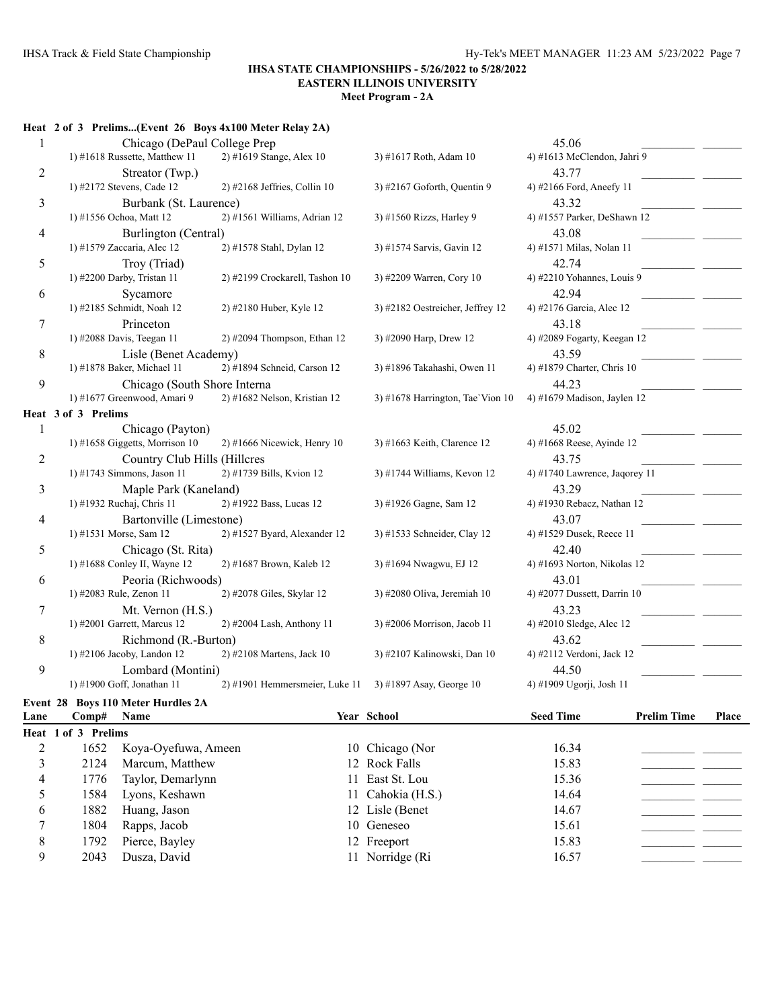**Meet Program - 2A**

|                | Heat 2 of 3 Prelims(Event 26 Boys 4x100 Meter Relay 2A) |                                |                                    |                               |
|----------------|---------------------------------------------------------|--------------------------------|------------------------------------|-------------------------------|
|                | Chicago (DePaul College Prep                            |                                |                                    | 45.06                         |
|                | 1) #1618 Russette, Matthew 11                           | 2) #1619 Stange, Alex 10       | 3) #1617 Roth, Adam 10             | 4) #1613 McClendon, Jahri 9   |
| $\overline{2}$ | Streator (Twp.)                                         |                                |                                    | 43.77                         |
|                | 1) #2172 Stevens, Cade 12                               | $2)$ #2168 Jeffries, Collin 10 | 3) #2167 Goforth, Quentin 9        | 4) #2166 Ford, Aneefy 11      |
| 3              | Burbank (St. Laurence)                                  |                                |                                    | 43.32                         |
|                | 1) #1556 Ochoa, Matt 12                                 | 2) #1561 Williams, Adrian 12   | 3) #1560 Rizzs, Harley 9           | 4) #1557 Parker, DeShawn 12   |
| $\overline{4}$ | Burlington (Central)                                    |                                |                                    | 43.08                         |
|                | 1) #1579 Zaccaria, Alec 12                              | 2) #1578 Stahl, Dylan 12       | 3) #1574 Sarvis, Gavin 12          | 4) #1571 Milas, Nolan 11      |
| 5              | Troy (Triad)                                            |                                |                                    | 42.74                         |
|                | 1) #2200 Darby, Tristan 11                              | 2) #2199 Crockarell, Tashon 10 | 3) #2209 Warren, Cory 10           | 4) #2210 Yohannes, Louis 9    |
| 6              | Sycamore                                                |                                |                                    | 42.94                         |
|                | 1) #2185 Schmidt, Noah 12                               | 2) #2180 Huber, Kyle 12        | 3) #2182 Oestreicher, Jeffrey 12   | 4) #2176 Garcia, Alec 12      |
| 7              | Princeton                                               |                                |                                    | 43.18                         |
|                | 1) #2088 Davis, Teegan 11                               | $2)$ #2094 Thompson, Ethan 12  | 3) #2090 Harp, Drew 12             | 4) #2089 Fogarty, Keegan 12   |
| $\,8\,$        | Lisle (Benet Academy)                                   |                                |                                    | 43.59                         |
|                | 1) #1878 Baker, Michael 11                              | 2) #1894 Schneid, Carson 12    | 3) #1896 Takahashi, Owen 11        | 4) #1879 Charter, Chris 10    |
| 9              | Chicago (South Shore Interna                            |                                |                                    | 44.23                         |
|                | 1) #1677 Greenwood, Amari 9                             | 2) #1682 Nelson, Kristian 12   | 3) #1678 Harrington, Tae'Vion $10$ | 4) #1679 Madison, Jaylen 12   |
|                | Heat 3 of 3 Prelims                                     |                                |                                    |                               |
| $\mathbf{1}$   | Chicago (Payton)                                        |                                |                                    | 45.02                         |
|                | 1) #1658 Giggetts, Morrison 10                          | $2)$ #1666 Nicewick, Henry 10  | 3) #1663 Keith, Clarence 12        | 4) #1668 Reese, Ayinde 12     |
| $\overline{c}$ | Country Club Hills (Hillcres                            |                                |                                    | 43.75                         |
|                | 1) #1743 Simmons, Jason 11                              | 2) #1739 Bills, Kvion 12       | 3) #1744 Williams, Kevon 12        | 4) #1740 Lawrence, Jaqorey 11 |
| 3              | Maple Park (Kaneland)                                   |                                |                                    | 43.29                         |
|                | 1) #1932 Ruchaj, Chris 11                               | 2) #1922 Bass, Lucas 12        | 3) #1926 Gagne, Sam 12             | 4) #1930 Rebacz, Nathan 12    |
| $\overline{4}$ | Bartonville (Limestone)                                 |                                |                                    | 43.07                         |
|                | 1) #1531 Morse, Sam 12                                  | 2) #1527 Byard, Alexander 12   | 3) #1533 Schneider, Clay 12        | 4) #1529 Dusek, Reece 11      |
| 5              | Chicago (St. Rita)                                      |                                |                                    | 42.40                         |
|                | 1) #1688 Conley II, Wayne 12                            | 2) #1687 Brown, Kaleb 12       | 3) #1694 Nwagwu, EJ 12             | 4) #1693 Norton, Nikolas 12   |
| 6              | Peoria (Richwoods)                                      |                                |                                    | 43.01                         |
|                | 1) #2083 Rule, Zenon 11                                 | 2) #2078 Giles, Skylar 12      | 3) #2080 Oliva, Jeremiah 10        | 4) #2077 Dussett, Darrin 10   |
| 7              | Mt. Vernon (H.S.)                                       |                                |                                    | 43.23                         |
|                | 1) #2001 Garrett, Marcus 12                             | 2) #2004 Lash, Anthony 11      | 3) #2006 Morrison, Jacob 11        | 4) #2010 Sledge, Alec 12      |
| 8              | Richmond (R.-Burton)                                    |                                |                                    | 43.62                         |
|                | 1) #2106 Jacoby, Landon 12                              | 2) #2108 Martens, Jack 10      | 3) #2107 Kalinowski, Dan 10        | 4) #2112 Verdoni, Jack 12     |
| 9              | Lombard (Montini)                                       |                                |                                    | 44.50                         |
|                | 1) #1900 Goff, Jonathan 11                              | 2) #1901 Hemmersmeier, Luke 11 | 3) #1897 Asay, George 10           | 4) #1909 Ugorji, Josh 11      |
|                |                                                         |                                |                                    |                               |

#### **Event 28 Boys 110 Meter Hurdles 2A**

| Lane | Comp#               | <b>Name</b>         | <b>Year School</b> | <b>Seed Time</b> | <b>Prelim Time</b> | Place |
|------|---------------------|---------------------|--------------------|------------------|--------------------|-------|
|      | Heat 1 of 3 Prelims |                     |                    |                  |                    |       |
|      | 1652                | Koya-Oyefuwa, Ameen | 10 Chicago (Nor    | 16.34            |                    |       |
|      | 2124                | Marcum, Matthew     | 12 Rock Falls      | 15.83            |                    |       |
| 4    | 1776                | Taylor, Demarlynn   | 11 East St. Lou    | 15.36            |                    |       |
|      | 1584                | Lyons, Keshawn      | 11 Cahokia (H.S.)  | 14.64            |                    |       |
| 6    | 1882                | Huang, Jason        | 12 Lisle (Benet    | 14.67            |                    |       |
|      | 1804                | Rapps, Jacob        | 10 Geneseo         | 15.61            |                    |       |
| 8    | 1792                | Pierce, Bayley      | 12 Freeport        | 15.83            |                    |       |
| 9    | 2043                | Dusza, David        | 11 Norridge (Ri    | 16.57            |                    |       |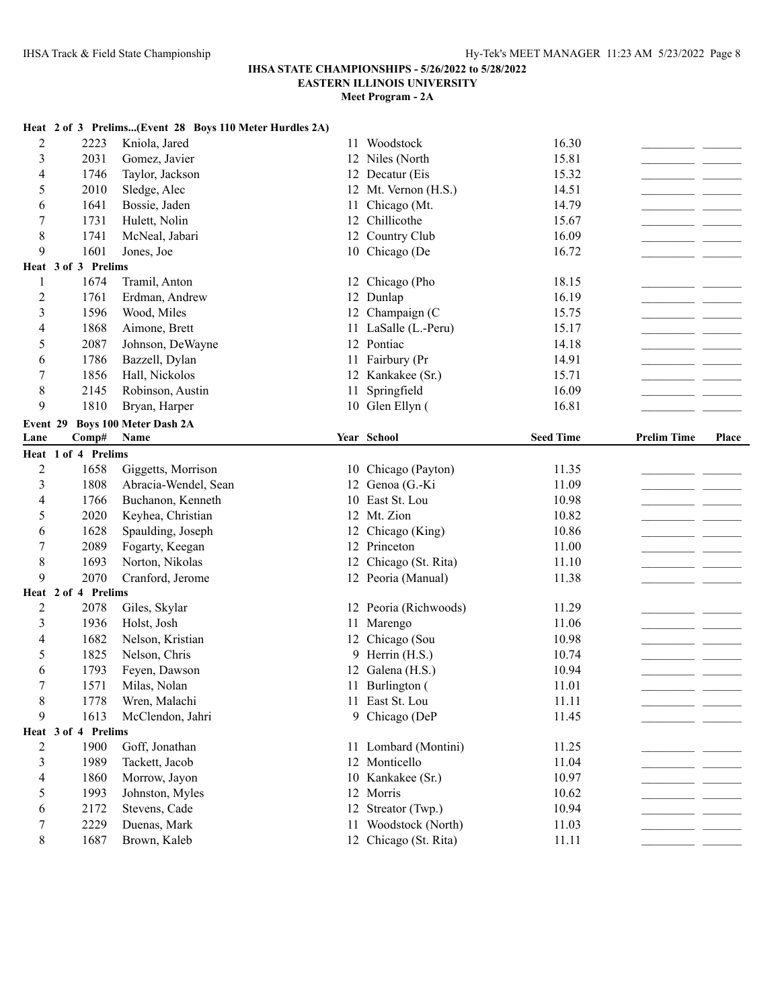# **IHSA STATE CHAMPIONSHIPS - 5/26/2022 to 5/28/2022**

**EASTERN ILLINOIS UNIVERSITY**

|                  |                     | Heat 2 of 3 Prelims(Event 28 Boys 110 Meter Hurdles 2A) |    |                                               |                  |                    |       |
|------------------|---------------------|---------------------------------------------------------|----|-----------------------------------------------|------------------|--------------------|-------|
| $\overline{c}$   | 2223                | Kniola, Jared                                           |    | 11 Woodstock                                  | 16.30            |                    |       |
| 3                | 2031                | Gomez, Javier                                           |    | 12 Niles (North                               | 15.81            |                    |       |
| 4                | 1746                | Taylor, Jackson                                         |    | 12 Decatur (Eis                               | 15.32            |                    |       |
| 5                | 2010                | Sledge, Alec                                            |    | 12 Mt. Vernon (H.S.)                          | 14.51            |                    |       |
| 6                | 1641                | Bossie, Jaden                                           | 11 | Chicago (Mt.                                  | 14.79            |                    |       |
| 7                | 1731                | Hulett, Nolin                                           |    | 12 Chillicothe                                | 15.67            |                    |       |
| 8                | 1741                | McNeal, Jabari                                          |    | 12 Country Club                               | 16.09            |                    |       |
| 9                | 1601                | Jones, Joe                                              |    | 10 Chicago (De                                | 16.72            |                    |       |
|                  | Heat 3 of 3 Prelims |                                                         |    |                                               |                  |                    |       |
| 1                | 1674                | Tramil, Anton                                           |    | 12 Chicago (Pho                               | 18.15            |                    |       |
| $\overline{c}$   | 1761                | Erdman, Andrew                                          |    | 12 Dunlap                                     | 16.19            |                    |       |
| 3                | 1596                | Wood, Miles                                             |    | 12 Champaign (C                               | 15.75            |                    |       |
| 4                | 1868                | Aimone, Brett                                           |    | 11 LaSalle (L.-Peru)                          | 15.17            |                    |       |
| 5                | 2087                | Johnson, DeWayne                                        |    | 12 Pontiac                                    | 14.18            |                    |       |
| 6                | 1786                | Bazzell, Dylan                                          |    | 11 Fairbury (Pr                               | 14.91            |                    |       |
| 7                | 1856                | Hall, Nickolos                                          |    | 12 Kankakee (Sr.)                             | 15.71            |                    |       |
| 8                | 2145                | Robinson, Austin                                        | 11 | Springfield                                   | 16.09            |                    |       |
| 9                | 1810                | Bryan, Harper                                           |    | 10 Glen Ellyn (                               | 16.81            |                    |       |
| Event 29         |                     | <b>Boys 100 Meter Dash 2A</b>                           |    |                                               |                  |                    |       |
| Lane             | Comp#               | Name                                                    |    | Year School                                   | <b>Seed Time</b> | <b>Prelim Time</b> | Place |
|                  | Heat 1 of 4 Prelims |                                                         |    |                                               |                  |                    |       |
| $\overline{c}$   | 1658                | Giggetts, Morrison                                      |    | 10 Chicago (Payton)                           | 11.35            |                    |       |
|                  |                     |                                                         |    |                                               |                  |                    |       |
| 3                | 1808                | Abracia-Wendel, Sean                                    |    | 12 Genoa (G.-Ki                               | 11.09            |                    |       |
| 4                | 1766                | Buchanon, Kenneth                                       |    | 10 East St. Lou                               | 10.98            |                    |       |
| 5                | 2020                | Keyhea, Christian                                       |    | 12 Mt. Zion                                   | 10.82            |                    |       |
| 6                | 1628                | Spaulding, Joseph                                       |    | 12 Chicago (King)                             | 10.86            |                    |       |
| $\sqrt{ }$       | 2089                | Fogarty, Keegan                                         |    | 12 Princeton                                  | 11.00            |                    |       |
| $\,8\,$          | 1693                | Norton, Nikolas                                         |    | 12 Chicago (St. Rita)                         | 11.10            |                    |       |
| 9                | 2070                | Cranford, Jerome                                        |    | 12 Peoria (Manual)                            | 11.38            |                    |       |
|                  | Heat 2 of 4 Prelims |                                                         |    |                                               |                  |                    |       |
| $\overline{c}$   | 2078                | Giles, Skylar                                           |    | 12 Peoria (Richwoods)                         | 11.29            |                    |       |
| 3                | 1936                | Holst, Josh                                             | 11 | Marengo                                       | 11.06            |                    |       |
| 4                | 1682                | Nelson, Kristian                                        |    | 12 Chicago (Sou                               | 10.98            |                    |       |
| 5                | 1825                | Nelson, Chris                                           |    | 9 Herrin (H.S.)                               | 10.74            |                    |       |
| 6                | 1793                | Feyen, Dawson                                           |    | 12 Galena (H.S.)                              | 10.94            |                    |       |
| $\boldsymbol{7}$ | 1571                | Milas, Nolan                                            |    | 11 Burlington (                               | 11.01            |                    |       |
| $8\phantom{1}$   | 1778                | Wren, Malachi                                           |    | 11 East St. Lou                               | 11.11            |                    |       |
| 9                | 1613                | McClendon, Jahri                                        |    | 9 Chicago (DeP                                | 11.45            |                    |       |
|                  | Heat 3 of 4 Prelims |                                                         |    |                                               |                  |                    |       |
| 2                | 1900                | Goff, Jonathan                                          |    | 11 Lombard (Montini)                          | 11.25            |                    |       |
| 3                | 1989                | Tackett, Jacob                                          |    | 12 Monticello                                 | 11.04            |                    |       |
| 4                | 1860                | Morrow, Jayon                                           |    | 10 Kankakee (Sr.)                             | 10.97            |                    |       |
| 5                | 1993                | Johnston, Myles                                         |    | 12 Morris                                     | 10.62            |                    |       |
| 6                | 2172                | Stevens, Cade                                           |    | 12 Streator (Twp.)                            | 10.94            |                    |       |
| 7<br>8           | 2229<br>1687        | Duenas, Mark<br>Brown, Kaleb                            |    | 11 Woodstock (North)<br>12 Chicago (St. Rita) | 11.03<br>11.11   |                    |       |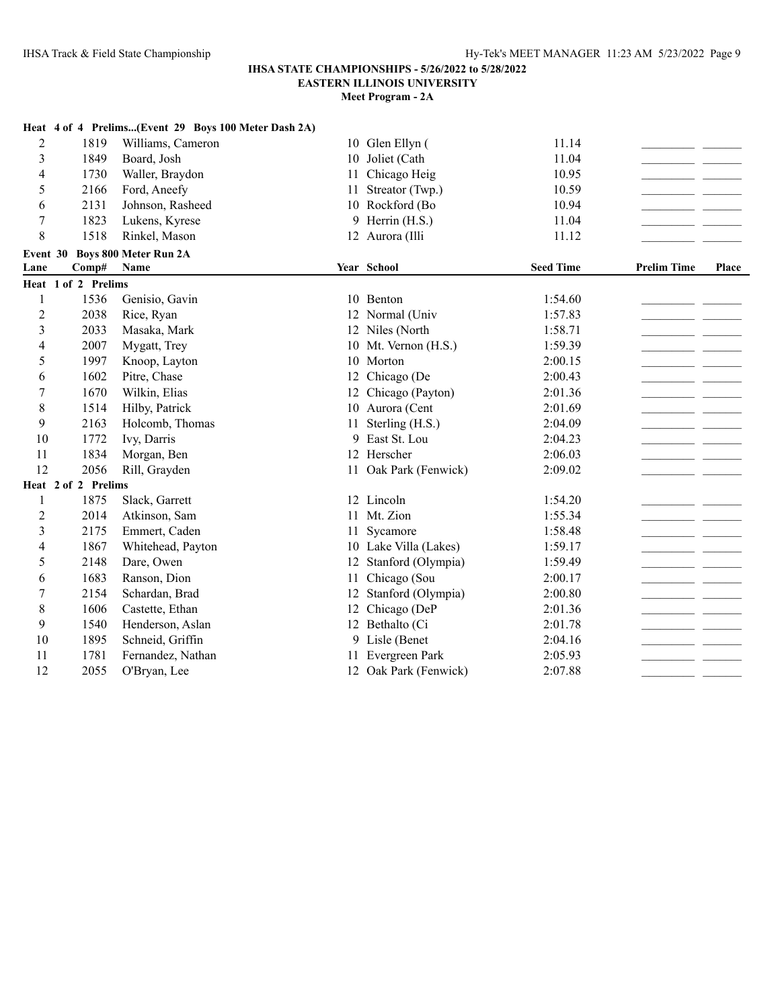|                |                     | Heat 4 of 4 Prelims(Event 29 Boys 100 Meter Dash 2A) |    |                       |                  |                    |       |
|----------------|---------------------|------------------------------------------------------|----|-----------------------|------------------|--------------------|-------|
| $\overline{2}$ | 1819                | Williams, Cameron                                    |    | 10 Glen Ellyn (       | 11.14            |                    |       |
| 3              | 1849                | Board, Josh                                          | 10 | Joliet (Cath          | 11.04            |                    |       |
| $\overline{4}$ | 1730                | Waller, Braydon                                      | 11 | Chicago Heig          | 10.95            |                    |       |
| 5              | 2166                | Ford, Aneefy                                         | 11 | Streator (Twp.)       | 10.59            |                    |       |
| 6              | 2131                | Johnson, Rasheed                                     |    | 10 Rockford (Bo       | 10.94            |                    |       |
| $\overline{7}$ | 1823                | Lukens, Kyrese                                       |    | 9 Herrin (H.S.)       | 11.04            |                    |       |
| 8              | 1518                | Rinkel, Mason                                        |    | 12 Aurora (Illi       | 11.12            |                    |       |
| Event 30       |                     | <b>Boys 800 Meter Run 2A</b>                         |    |                       |                  |                    |       |
| Lane           | Comp#               | Name                                                 |    | Year School           | <b>Seed Time</b> | <b>Prelim Time</b> | Place |
|                | Heat 1 of 2 Prelims |                                                      |    |                       |                  |                    |       |
| 1              | 1536                | Genisio, Gavin                                       |    | 10 Benton             | 1:54.60          |                    |       |
| $\overline{c}$ | 2038                | Rice, Ryan                                           |    | 12 Normal (Univ       | 1:57.83          |                    |       |
| 3              | 2033                | Masaka, Mark                                         |    | 12 Niles (North       | 1:58.71          |                    |       |
| 4              | 2007                | Mygatt, Trey                                         |    | 10 Mt. Vernon (H.S.)  | 1:59.39          |                    |       |
| 5              | 1997                | Knoop, Layton                                        |    | 10 Morton             | 2:00.15          |                    |       |
| 6              | 1602                | Pitre, Chase                                         | 12 | Chicago (De           | 2:00.43          |                    |       |
| 7              | 1670                | Wilkin, Elias                                        | 12 | Chicago (Payton)      | 2:01.36          |                    |       |
| 8              | 1514                | Hilby, Patrick                                       |    | 10 Aurora (Cent       | 2:01.69          |                    |       |
| 9              | 2163                | Holcomb, Thomas                                      | 11 | Sterling (H.S.)       | 2:04.09          |                    |       |
| 10             | 1772                | Ivy, Darris                                          |    | 9 East St. Lou        | 2:04.23          |                    |       |
| 11             | 1834                | Morgan, Ben                                          |    | 12 Herscher           | 2:06.03          |                    |       |
| 12             | 2056                | Rill, Grayden                                        |    | 11 Oak Park (Fenwick) | 2:09.02          |                    |       |
|                | Heat 2 of 2 Prelims |                                                      |    |                       |                  |                    |       |
| 1              | 1875                | Slack, Garrett                                       |    | 12 Lincoln            | 1:54.20          |                    |       |
| $\overline{2}$ | 2014                | Atkinson, Sam                                        |    | 11 Mt. Zion           | 1:55.34          |                    |       |
| 3              | 2175                | Emmert, Caden                                        | 11 | Sycamore              | 1:58.48          |                    |       |
| 4              | 1867                | Whitehead, Payton                                    |    | 10 Lake Villa (Lakes) | 1:59.17          |                    |       |
| 5              | 2148                | Dare, Owen                                           | 12 | Stanford (Olympia)    | 1:59.49          |                    |       |
| 6              | 1683                | Ranson, Dion                                         | 11 | Chicago (Sou          | 2:00.17          |                    |       |
| 7              | 2154                | Schardan, Brad                                       |    | 12 Stanford (Olympia) | 2:00.80          |                    |       |
| 8              | 1606                | Castette, Ethan                                      |    | 12 Chicago (DeP       | 2:01.36          |                    |       |
| 9              | 1540                | Henderson, Aslan                                     |    | 12 Bethalto (Ci       | 2:01.78          |                    |       |
| 10             | 1895                | Schneid, Griffin                                     |    | 9 Lisle (Benet        | 2:04.16          |                    |       |
| 11             | 1781                | Fernandez, Nathan                                    |    | 11 Evergreen Park     | 2:05.93          |                    |       |
| 12             | 2055                | O'Bryan, Lee                                         |    | 12 Oak Park (Fenwick) | 2:07.88          |                    |       |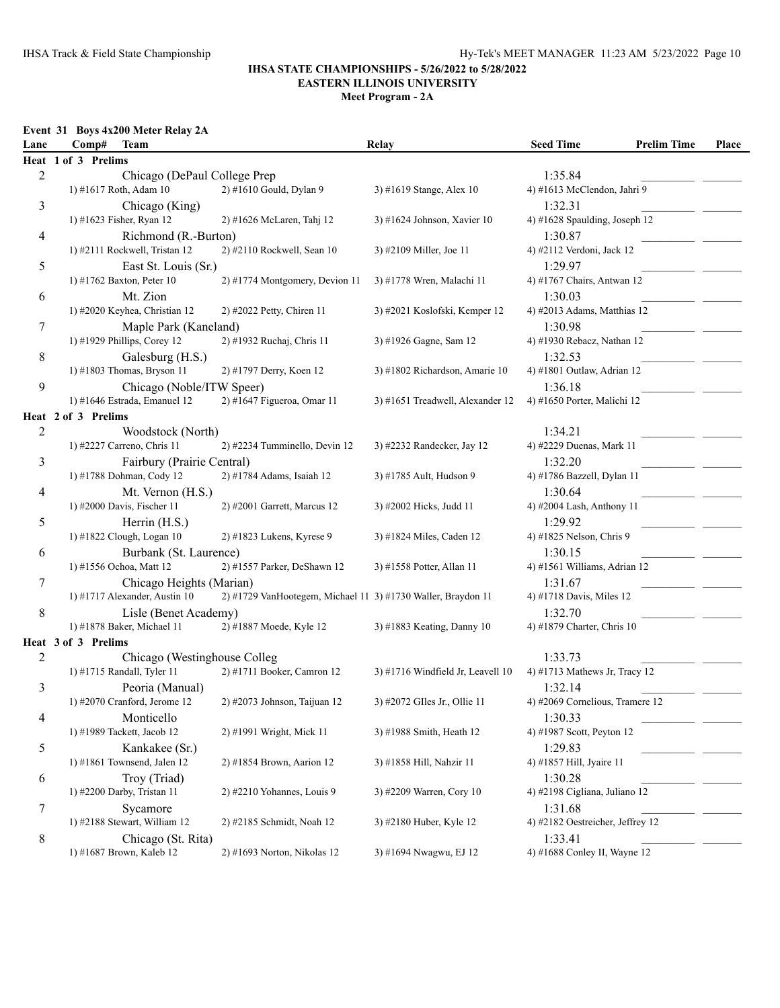**Meet Program - 2A**

#### **Event 31 Boys 4x200 Meter Relay 2A**

| Lane           | <b>Team</b><br>Comp#          |                                                              | Relay                             | <b>Seed Time</b>                 | <b>Prelim Time</b> | Place |
|----------------|-------------------------------|--------------------------------------------------------------|-----------------------------------|----------------------------------|--------------------|-------|
|                | Heat 1 of 3 Prelims           |                                                              |                                   |                                  |                    |       |
| $\overline{c}$ | Chicago (DePaul College Prep) |                                                              |                                   | 1:35.84                          |                    |       |
|                | 1) #1617 Roth, Adam 10        | 2) #1610 Gould, Dylan 9                                      | 3) #1619 Stange, Alex 10          | 4) #1613 McClendon, Jahri 9      |                    |       |
| 3              | Chicago (King)                |                                                              |                                   | 1:32.31                          |                    |       |
|                | 1) #1623 Fisher, Ryan 12      | 2) #1626 McLaren, Tahj 12                                    | 3) #1624 Johnson, Xavier 10       | 4) #1628 Spaulding, Joseph 12    |                    |       |
| 4              | Richmond (R.-Burton)          |                                                              |                                   | 1:30.87                          |                    |       |
|                | 1) #2111 Rockwell, Tristan 12 | 2) #2110 Rockwell, Sean 10                                   | 3) #2109 Miller, Joe 11           | 4) #2112 Verdoni, Jack 12        |                    |       |
| 5              | East St. Louis (Sr.)          |                                                              |                                   | 1:29.97                          |                    |       |
|                | 1) #1762 Baxton, Peter 10     | 2) #1774 Montgomery, Devion 11                               | 3) #1778 Wren, Malachi 11         | 4) #1767 Chairs, Antwan 12       |                    |       |
| 6              | Mt. Zion                      |                                                              |                                   | 1:30.03                          |                    |       |
|                | 1) #2020 Keyhea, Christian 12 | 2) #2022 Petty, Chiren 11                                    | 3) #2021 Koslofski, Kemper 12     | 4) #2013 Adams, Matthias 12      |                    |       |
| 7              | Maple Park (Kaneland)         |                                                              |                                   | 1:30.98                          |                    |       |
|                | 1) #1929 Phillips, Corey 12   | 2) #1932 Ruchaj, Chris 11                                    | 3) #1926 Gagne, Sam 12            | 4) #1930 Rebacz, Nathan 12       |                    |       |
| 8              | Galesburg (H.S.)              |                                                              |                                   | 1:32.53                          |                    |       |
|                | 1) #1803 Thomas, Bryson 11    | 2) #1797 Derry, Koen 12                                      | 3) #1802 Richardson, Amarie 10    | 4) #1801 Outlaw, Adrian 12       |                    |       |
| 9              | Chicago (Noble/ITW Speer)     |                                                              |                                   | 1:36.18                          |                    |       |
|                | 1) #1646 Estrada, Emanuel 12  | 2) #1647 Figueroa, Omar 11                                   | 3) #1651 Treadwell, Alexander 12  | 4) #1650 Porter, Malichi 12      |                    |       |
|                | Heat 2 of 3 Prelims           |                                                              |                                   |                                  |                    |       |
| 2              | Woodstock (North)             |                                                              |                                   | 1:34.21                          |                    |       |
|                | 1) #2227 Carreno, Chris 11    | 2) #2234 Tumminello, Devin 12                                | 3) #2232 Randecker, Jay 12        | 4) #2229 Duenas, Mark 11         |                    |       |
| 3              | Fairbury (Prairie Central)    |                                                              |                                   | 1:32.20                          |                    |       |
|                | 1) #1788 Dohman, Cody 12      | 2) #1784 Adams, Isaiah 12                                    | 3) #1785 Ault, Hudson 9           | 4) #1786 Bazzell, Dylan 11       |                    |       |
| 4              | Mt. Vernon (H.S.)             |                                                              |                                   | 1:30.64                          |                    |       |
|                | 1) #2000 Davis, Fischer 11    | 2) #2001 Garrett, Marcus 12                                  | 3) #2002 Hicks, Judd 11           | 4) #2004 Lash, Anthony 11        |                    |       |
| 5              | Herrin (H.S.)                 |                                                              |                                   | 1:29.92                          |                    |       |
|                | 1) #1822 Clough, Logan 10     | $2)$ #1823 Lukens, Kyrese 9                                  | 3) #1824 Miles, Caden 12          | 4) #1825 Nelson, Chris 9         |                    |       |
| 6              | Burbank (St. Laurence)        |                                                              |                                   | 1:30.15                          |                    |       |
|                | 1) #1556 Ochoa, Matt 12       | 2) #1557 Parker, DeShawn 12                                  | 3) #1558 Potter, Allan 11         | 4) #1561 Williams, Adrian 12     |                    |       |
| 7              | Chicago Heights (Marian)      |                                                              |                                   | 1:31.67                          |                    |       |
|                | 1) #1717 Alexander, Austin 10 | 2) #1729 VanHootegem, Michael 11 3) #1730 Waller, Braydon 11 |                                   | 4) #1718 Davis, Miles 12         |                    |       |
| 8              | Lisle (Benet Academy)         |                                                              |                                   | 1:32.70                          |                    |       |
|                | 1) #1878 Baker, Michael 11    | 2) #1887 Moede, Kyle 12                                      | 3) #1883 Keating, Danny 10        | 4) #1879 Charter, Chris 10       |                    |       |
|                | Heat 3 of 3 Prelims           |                                                              |                                   |                                  |                    |       |
| 2              | Chicago (Westinghouse Colleg  |                                                              |                                   | 1:33.73                          |                    |       |
|                | 1) #1715 Randall, Tyler 11    | 2) #1711 Booker, Camron 12                                   | 3) #1716 Windfield Jr, Leavell 10 | 4) #1713 Mathews Jr, Tracy 12    |                    |       |
| 3              | Peoria (Manual)               |                                                              |                                   | 1:32.14                          |                    |       |
|                | 1) #2070 Cranford, Jerome 12  | 2) #2073 Johnson, Taijuan 12                                 | 3) #2072 GIles Jr., Ollie 11      | 4) #2069 Cornelious, Tramere 12  |                    |       |
| 4              | Monticello                    |                                                              |                                   | 1:30.33                          |                    |       |
|                | 1) #1989 Tackett, Jacob 12    | 2) #1991 Wright, Mick 11                                     | 3) #1988 Smith, Heath 12          | 4) #1987 Scott, Peyton 12        |                    |       |
| 5              | Kankakee (Sr.)                |                                                              |                                   | 1:29.83                          |                    |       |
|                | 1) #1861 Townsend, Jalen 12   | 2) #1854 Brown, Aarion 12                                    | 3) #1858 Hill, Nahzir 11          | 4) #1857 Hill, Jyaire 11         |                    |       |
| 6              | Troy (Triad)                  |                                                              |                                   | 1:30.28                          |                    |       |
|                | 1) #2200 Darby, Tristan 11    | $2)$ #2210 Yohannes, Louis 9                                 | 3) #2209 Warren, Cory 10          | 4) #2198 Cigliana, Juliano 12    |                    |       |
| 7              | Sycamore                      |                                                              |                                   | 1:31.68                          |                    |       |
|                | 1) #2188 Stewart, William 12  | 2) #2185 Schmidt, Noah 12                                    | 3) #2180 Huber, Kyle 12           | 4) #2182 Oestreicher, Jeffrey 12 |                    |       |
| 8              | Chicago (St. Rita)            |                                                              |                                   | 1:33.41                          |                    |       |
|                | 1) #1687 Brown, Kaleb 12      | 2) #1693 Norton, Nikolas 12                                  | 3) #1694 Nwagwu, EJ 12            | 4) #1688 Conley II, Wayne 12     |                    |       |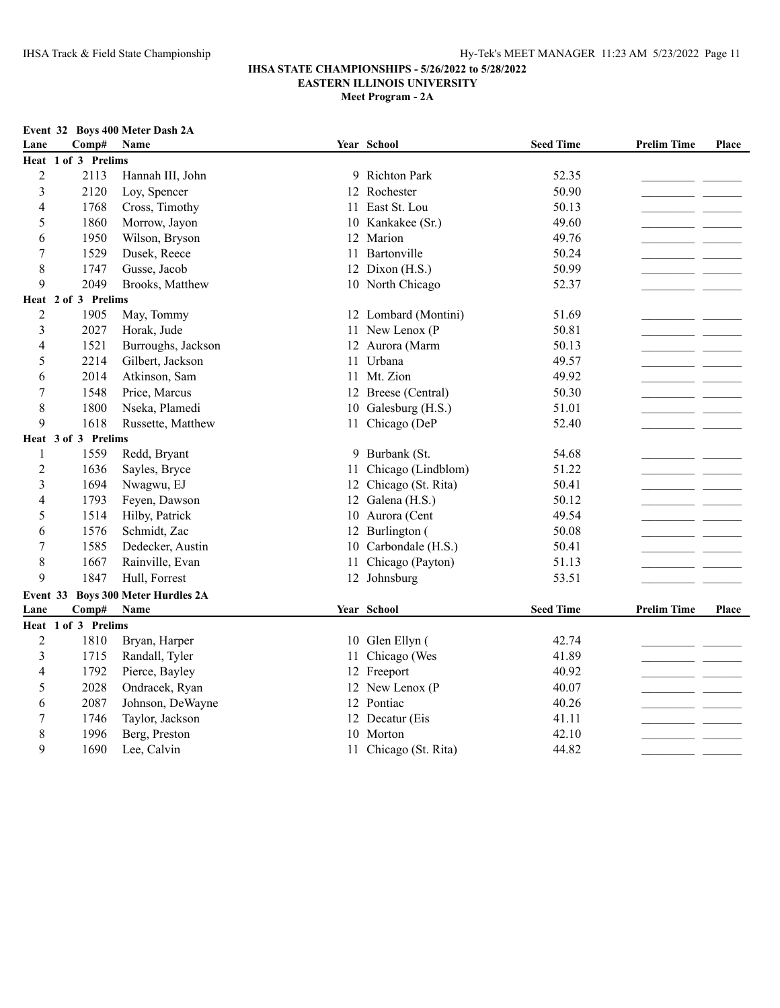### **IHSA STATE CHAMPIONSHIPS - 5/26/2022 to 5/28/2022 EASTERN ILLINOIS UNIVERSITY**

**Meet Program - 2A**

|                         |                     | Event 32 Boys 400 Meter Dash 2A  |    |                      |                  |                    |              |
|-------------------------|---------------------|----------------------------------|----|----------------------|------------------|--------------------|--------------|
| Lane                    | Comp#               | Name                             |    | Year School          | <b>Seed Time</b> | <b>Prelim Time</b> | <b>Place</b> |
|                         | Heat 1 of 3 Prelims |                                  |    |                      |                  |                    |              |
| $\overline{2}$          | 2113                | Hannah III, John                 |    | 9 Richton Park       | 52.35            |                    |              |
| $\overline{\mathbf{3}}$ | 2120                | Loy, Spencer                     |    | 12 Rochester         | 50.90            |                    |              |
| $\overline{4}$          | 1768                | Cross, Timothy                   | 11 | East St. Lou         | 50.13            |                    |              |
| 5                       | 1860                | Morrow, Jayon                    |    | 10 Kankakee (Sr.)    | 49.60            |                    |              |
| 6                       | 1950                | Wilson, Bryson                   | 12 | Marion               | 49.76            |                    |              |
| $\overline{7}$          | 1529                | Dusek, Reece                     | 11 | Bartonville          | 50.24            |                    |              |
| 8                       | 1747                | Gusse, Jacob                     |    | 12 Dixon (H.S.)      | 50.99            |                    |              |
| 9                       | 2049                | Brooks, Matthew                  |    | 10 North Chicago     | 52.37            |                    |              |
|                         | Heat 2 of 3 Prelims |                                  |    |                      |                  |                    |              |
| $\overline{2}$          | 1905                | May, Tommy                       |    | 12 Lombard (Montini) | 51.69            |                    |              |
| 3                       | 2027                | Horak, Jude                      |    | 11 New Lenox (P      | 50.81            |                    |              |
| $\overline{4}$          | 1521                | Burroughs, Jackson               |    | 12 Aurora (Marm      | 50.13            |                    |              |
| 5                       | 2214                | Gilbert, Jackson                 |    | 11 Urbana            | 49.57            |                    |              |
| 6                       | 2014                | Atkinson, Sam                    |    | 11 Mt. Zion          | 49.92            |                    |              |
| 7                       | 1548                | Price, Marcus                    |    | 12 Breese (Central)  | 50.30            |                    |              |
| 8                       | 1800                | Nseka, Plamedi                   |    | 10 Galesburg (H.S.)  | 51.01            |                    |              |
| 9                       | 1618                | Russette, Matthew                |    | 11 Chicago (DeP      | 52.40            |                    |              |
|                         | Heat 3 of 3 Prelims |                                  |    |                      |                  |                    |              |
| 1                       | 1559                | Redd, Bryant                     |    | 9 Burbank (St.       | 54.68            |                    |              |
| $\overline{2}$          | 1636                | Sayles, Bryce                    | 11 | Chicago (Lindblom)   | 51.22            |                    |              |
| 3                       | 1694                | Nwagwu, EJ                       | 12 | Chicago (St. Rita)   | 50.41            |                    |              |
| 4                       | 1793                | Feyen, Dawson                    | 12 | Galena (H.S.)        | 50.12            |                    |              |
| 5                       | 1514                | Hilby, Patrick                   |    | 10 Aurora (Cent      | 49.54            |                    |              |
| 6                       | 1576                | Schmidt, Zac                     | 12 | Burlington (         | 50.08            |                    |              |
| 7                       | 1585                | Dedecker, Austin                 | 10 | Carbondale (H.S.)    | 50.41            |                    |              |
| 8                       | 1667                | Rainville, Evan                  | 11 | Chicago (Payton)     | 51.13            |                    |              |
| 9                       | 1847                | Hull, Forrest                    |    | 12 Johnsburg         | 53.51            |                    |              |
| Event 33                |                     | <b>Boys 300 Meter Hurdles 2A</b> |    |                      |                  |                    |              |
| Lane                    | Comp#               | Name                             |    | Year School          | <b>Seed Time</b> | <b>Prelim Time</b> | Place        |
|                         | Heat 1 of 3 Prelims |                                  |    |                      |                  |                    |              |
| $\overline{2}$          | 1810                | Bryan, Harper                    |    | 10 Glen Ellyn (      | 42.74            |                    |              |
| 3                       | 1715                | Randall, Tyler                   | 11 | Chicago (Wes         | 41.89            |                    |              |
| 4                       | 1792                | Pierce, Bayley                   | 12 | Freeport             | 40.92            |                    |              |
| 5                       | 2028                | Ondracek, Ryan                   |    | 12 New Lenox (P      | 40.07            |                    |              |

 2087 Johnson, DeWayne 12 Pontiac 40.26\_\_\_\_\_\_\_\_\_\_\_\_\_\_\_\_\_\_\_\_\_\_ \_\_\_\_\_\_\_ 1746 Taylor, Jackson 12 Decatur (Eis 41.11\_\_\_\_\_\_\_\_\_\_\_\_\_\_\_\_\_\_\_\_\_\_ \_\_\_\_\_\_\_ 1996 Berg, Preston 10 Morton 42.10\_\_\_\_\_\_\_\_\_\_\_\_\_\_\_\_\_\_\_\_\_\_ \_\_\_\_\_\_\_ 9 1690 Lee, Calvin 11 Chicago (St. Rita) 44.82 \_\_\_\_\_\_\_\_\_\_\_\_\_\_\_\_\_\_\_\_\_\_\_\_\_\_\_\_\_\_\_\_\_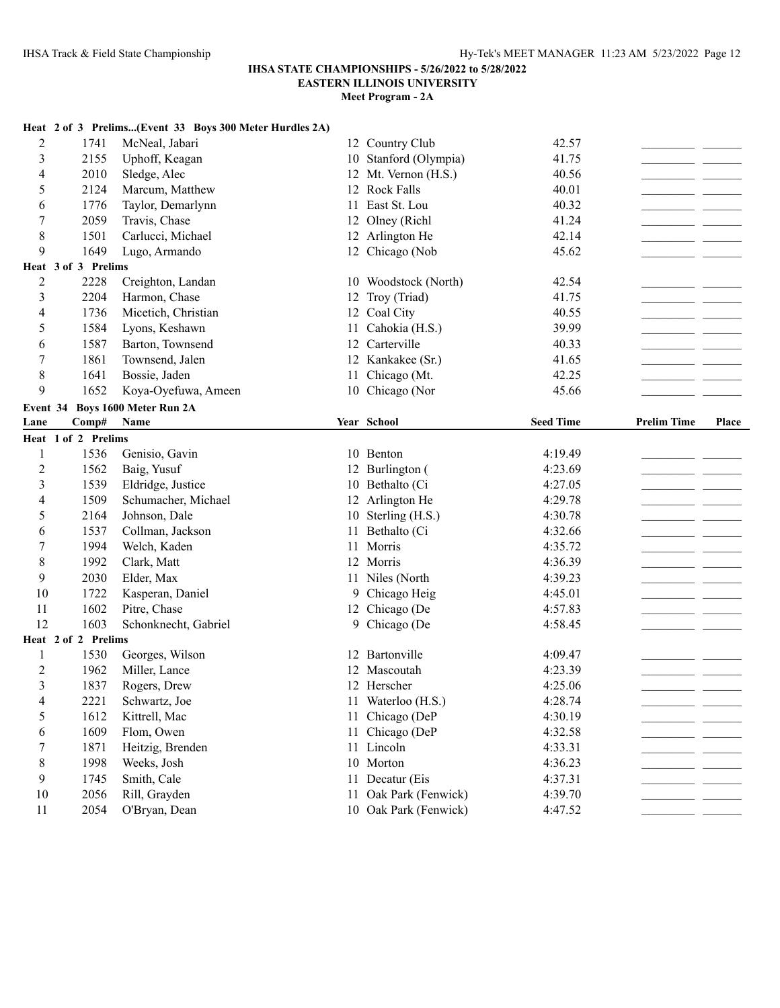# **IHSA STATE CHAMPIONSHIPS - 5/26/2022 to 5/28/2022**

**EASTERN ILLINOIS UNIVERSITY**

|                |                     | Heat 2 of 3 Prelims(Event 33 Boys 300 Meter Hurdles 2A) |    |                                                |                  |                                   |       |
|----------------|---------------------|---------------------------------------------------------|----|------------------------------------------------|------------------|-----------------------------------|-------|
| 2              | 1741                | McNeal, Jabari                                          |    | 12 Country Club                                | 42.57            |                                   |       |
| 3              | 2155                | Uphoff, Keagan                                          |    | 10 Stanford (Olympia)                          | 41.75            |                                   |       |
| 4              | 2010                | Sledge, Alec                                            |    | 12 Mt. Vernon (H.S.)                           | 40.56            |                                   |       |
| 5              | 2124                | Marcum, Matthew                                         |    | 12 Rock Falls                                  | 40.01            | - -                               |       |
| 6              | 1776                | Taylor, Demarlynn                                       | 11 | East St. Lou                                   | 40.32            |                                   |       |
| 7              | 2059                | Travis, Chase                                           | 12 | Olney (Richl                                   | 41.24            |                                   |       |
| 8              | 1501                | Carlucci, Michael                                       |    | 12 Arlington He                                | 42.14            |                                   |       |
| 9              | 1649                | Lugo, Armando                                           |    | 12 Chicago (Nob                                | 45.62            |                                   |       |
|                | Heat 3 of 3 Prelims |                                                         |    |                                                |                  |                                   |       |
| $\overline{2}$ | 2228                | Creighton, Landan                                       |    | 10 Woodstock (North)                           | 42.54            |                                   |       |
| 3              | 2204                | Harmon, Chase                                           | 12 | Troy (Triad)                                   | 41.75            |                                   |       |
| 4              | 1736                | Micetich, Christian                                     |    | 12 Coal City                                   | 40.55            |                                   |       |
| 5              | 1584                | Lyons, Keshawn                                          | 11 | Cahokia (H.S.)                                 | 39.99            |                                   |       |
| 6              | 1587                | Barton, Townsend                                        |    | 12 Carterville                                 | 40.33            |                                   |       |
| 7              | 1861                | Townsend, Jalen                                         |    | 12 Kankakee (Sr.)                              | 41.65            |                                   |       |
| $\,$ 8 $\,$    | 1641                | Bossie, Jaden                                           | 11 | Chicago (Mt.                                   | 42.25            |                                   |       |
| 9              | 1652                | Koya-Oyefuwa, Ameen                                     |    | 10 Chicago (Nor                                | 45.66            |                                   |       |
| Event 34       |                     | <b>Boys 1600 Meter Run 2A</b>                           |    |                                                |                  |                                   |       |
| Lane           | Comp#               | Name                                                    |    | Year School                                    | <b>Seed Time</b> | <b>Prelim Time</b>                | Place |
|                | Heat 1 of 2 Prelims |                                                         |    |                                                |                  |                                   |       |
| 1              | 1536                | Genisio, Gavin                                          |    | 10 Benton                                      | 4:19.49          |                                   |       |
|                |                     |                                                         |    |                                                |                  |                                   |       |
| $\overline{c}$ | 1562                | Baig, Yusuf                                             |    | 12 Burlington (                                | 4:23.69          |                                   |       |
| 3              | 1539                | Eldridge, Justice                                       |    | 10 Bethalto (Ci                                | 4:27.05          |                                   |       |
| 4              | 1509                | Schumacher, Michael                                     |    | 12 Arlington He                                | 4:29.78          |                                   |       |
| 5              | 2164                | Johnson, Dale                                           |    | 10 Sterling (H.S.)                             | 4:30.78          |                                   |       |
| 6              | 1537                | Collman, Jackson                                        |    | 11 Bethalto (Ci                                | 4:32.66          |                                   |       |
| 7              | 1994                | Welch, Kaden                                            |    | 11 Morris                                      | 4:35.72          |                                   |       |
| 8              | 1992                | Clark, Matt                                             |    | 12 Morris                                      | 4:36.39          | and the state of the              |       |
| 9              | 2030                | Elder, Max                                              |    | 11 Niles (North                                | 4:39.23          | the control of the control of the |       |
| 10             | 1722                | Kasperan, Daniel                                        |    | 9 Chicago Heig                                 | 4:45.01          |                                   |       |
| 11             | 1602                | Pitre, Chase                                            |    | 12 Chicago (De                                 | 4:57.83          |                                   |       |
| 12             | 1603                | Schonknecht, Gabriel                                    |    | 9 Chicago (De                                  | 4:58.45          |                                   |       |
|                | Heat 2 of 2 Prelims |                                                         |    |                                                |                  |                                   |       |
| 1              | 1530                | Georges, Wilson                                         |    | 12 Bartonville                                 | 4:09.47          |                                   |       |
| $\overline{c}$ | 1962                | Miller, Lance                                           | 12 | Mascoutah                                      | 4:23.39          |                                   |       |
| 3              | 1837                | Rogers, Drew                                            |    | 12 Herscher                                    | 4:25.06          |                                   |       |
| 4              | 2221                | Schwartz, Joe                                           |    | 11 Waterloo (H.S.)                             | 4:28.74          |                                   |       |
| 5              | 1612                | Kittrell, Mac                                           |    | 11 Chicago (DeP                                | 4:30.19          |                                   |       |
| 6              | 1609                | Flom, Owen                                              |    | 11 Chicago (DeP                                | 4:32.58          |                                   |       |
| 7              | 1871                | Heitzig, Brenden                                        |    | 11 Lincoln                                     | 4:33.31          |                                   |       |
| 8              | 1998                | Weeks, Josh                                             |    | 10 Morton                                      | 4:36.23          |                                   |       |
| 9              | 1745                | Smith, Cale                                             |    | 11 Decatur (Eis                                | 4:37.31          |                                   |       |
| $10\,$         | 2056                | Rill, Grayden                                           |    | 11 Oak Park (Fenwick)<br>10 Oak Park (Fenwick) | 4:39.70          |                                   |       |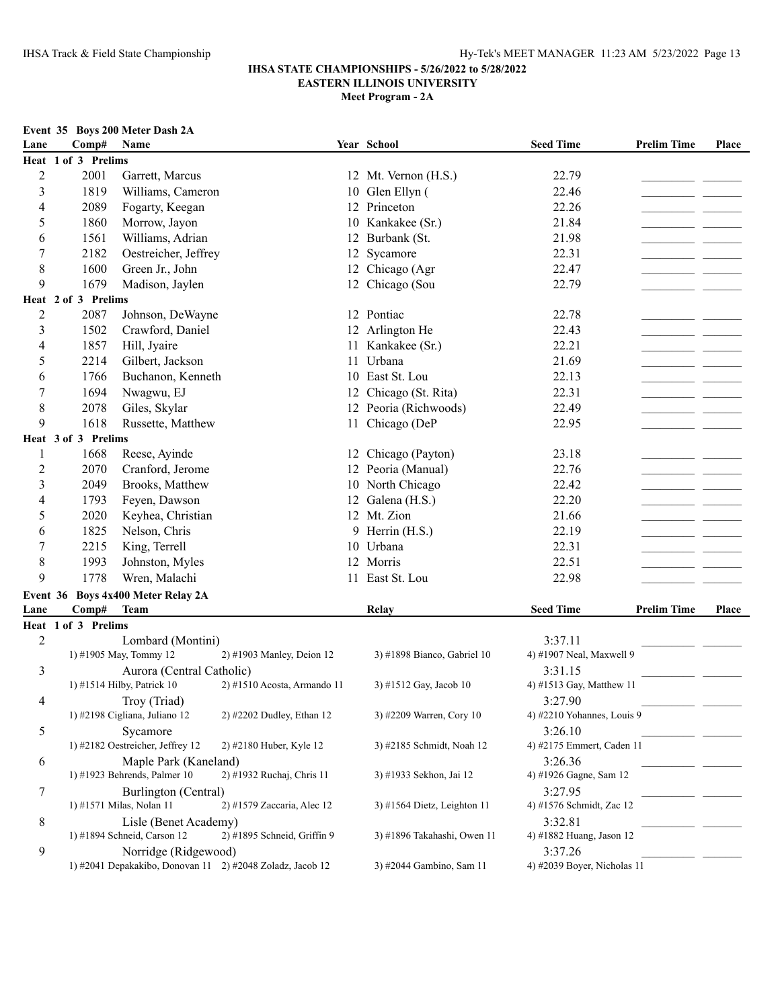|      | Event 35 Boys 200 Meter Dash 2A |  |  |
|------|---------------------------------|--|--|
| Lane | $Comn\#$ Name                   |  |  |

| Lane             | <b>DOAS FOR MILLER</b><br>Comp# Name |                                             |                                                           | Year School                 | <b>Seed Time</b>                       | <b>Prelim Time</b> | Place |
|------------------|--------------------------------------|---------------------------------------------|-----------------------------------------------------------|-----------------------------|----------------------------------------|--------------------|-------|
|                  | Heat 1 of 3 Prelims                  |                                             |                                                           |                             |                                        |                    |       |
| $\overline{2}$   | 2001                                 | Garrett, Marcus                             |                                                           | 12 Mt. Vernon (H.S.)        | 22.79                                  |                    |       |
| $\mathfrak{Z}$   | 1819                                 | Williams, Cameron                           |                                                           | 10 Glen Ellyn (             | 22.46                                  |                    |       |
| 4                | 2089                                 | Fogarty, Keegan                             |                                                           | 12 Princeton                | 22.26                                  |                    |       |
| 5                | 1860                                 | Morrow, Jayon                               |                                                           | 10 Kankakee (Sr.)           | 21.84                                  |                    |       |
| 6                | 1561                                 | Williams, Adrian                            |                                                           | 12 Burbank (St.             | 21.98                                  |                    |       |
| $\boldsymbol{7}$ | 2182                                 | Oestreicher, Jeffrey                        |                                                           | 12 Sycamore                 | 22.31                                  |                    |       |
| $\,$ 8 $\,$      | 1600                                 | Green Jr., John                             |                                                           | 12 Chicago (Agr             | 22.47                                  |                    |       |
| 9                | 1679                                 | Madison, Jaylen                             |                                                           | 12 Chicago (Sou             | 22.79                                  |                    |       |
|                  | Heat 2 of 3 Prelims                  |                                             |                                                           |                             |                                        |                    |       |
| $\overline{2}$   | 2087                                 | Johnson, DeWayne                            |                                                           | 12 Pontiac                  | 22.78                                  |                    |       |
| $\mathfrak{Z}$   | 1502                                 | Crawford, Daniel                            |                                                           | 12 Arlington He             | 22.43                                  |                    |       |
| $\overline{4}$   | 1857                                 | Hill, Jyaire                                |                                                           | 11 Kankakee (Sr.)           | 22.21                                  |                    |       |
| 5                | 2214                                 | Gilbert, Jackson                            |                                                           | 11 Urbana                   | 21.69                                  |                    |       |
| 6                | 1766                                 | Buchanon, Kenneth                           |                                                           | 10 East St. Lou             | 22.13                                  |                    |       |
| $\boldsymbol{7}$ | 1694                                 | Nwagwu, EJ                                  |                                                           | 12 Chicago (St. Rita)       | 22.31                                  |                    |       |
| $\,$ 8 $\,$      | 2078                                 | Giles, Skylar                               |                                                           | 12 Peoria (Richwoods)       | 22.49                                  |                    |       |
| 9                | 1618                                 | Russette, Matthew                           |                                                           | 11 Chicago (DeP             | 22.95                                  |                    |       |
|                  | Heat 3 of 3 Prelims                  |                                             |                                                           |                             |                                        |                    |       |
| $\mathbf{1}$     | 1668                                 | Reese, Ayinde                               |                                                           | 12 Chicago (Payton)         | 23.18                                  |                    |       |
| $\overline{2}$   | 2070                                 | Cranford, Jerome                            |                                                           | 12 Peoria (Manual)          | 22.76                                  |                    |       |
| $\mathfrak{Z}$   | 2049                                 | Brooks, Matthew                             |                                                           | 10 North Chicago            | 22.42                                  |                    |       |
| $\overline{4}$   | 1793                                 | Feyen, Dawson                               |                                                           | 12 Galena (H.S.)            | 22.20                                  |                    |       |
| 5                | 2020                                 | Keyhea, Christian                           |                                                           | 12 Mt. Zion                 | 21.66                                  |                    |       |
| 6                | 1825                                 | Nelson, Chris                               |                                                           | 9 Herrin (H.S.)             | 22.19                                  |                    |       |
| $\tau$           | 2215                                 | King, Terrell                               |                                                           | 10 Urbana                   | 22.31                                  |                    |       |
| $\,$ 8 $\,$      | 1993                                 |                                             |                                                           | 12 Morris                   | 22.51                                  |                    |       |
| 9                | 1778                                 | Johnston, Myles                             |                                                           | 11 East St. Lou             | 22.98                                  |                    |       |
|                  |                                      | Wren, Malachi                               |                                                           |                             |                                        |                    |       |
|                  |                                      | Event 36 Boys 4x400 Meter Relay 2A          |                                                           |                             |                                        |                    |       |
| Lane             | Comp#                                | <b>Team</b>                                 |                                                           | Relay                       | <b>Seed Time</b>                       | <b>Prelim Time</b> | Place |
|                  | Heat 1 of 3 Prelims                  |                                             |                                                           |                             |                                        |                    |       |
| $\overline{2}$   |                                      | Lombard (Montini)<br>1) #1905 May, Tommy 12 | 2) #1903 Manley, Deion 12                                 | 3) #1898 Bianco, Gabriel 10 | 3:37.11<br>4) #1907 Neal, Maxwell 9    |                    |       |
| 3                |                                      | Aurora (Central Catholic)                   |                                                           |                             | 3:31.15                                |                    |       |
|                  |                                      | 1) #1514 Hilby, Patrick 10                  | 2) #1510 Acosta, Armando 11                               | 3) #1512 Gay, Jacob 10      | 4) #1513 Gay, Matthew 11               |                    |       |
| 4                |                                      | Troy (Triad)                                |                                                           |                             | 3:27.90                                |                    |       |
|                  |                                      | 1) #2198 Cigliana, Juliano 12               | 2) #2202 Dudley, Ethan 12                                 | 3) #2209 Warren, Cory 10    | 4) #2210 Yohannes, Louis 9             |                    |       |
| 5                |                                      | Sycamore                                    |                                                           |                             | 3:26.10                                |                    |       |
|                  |                                      | 1) #2182 Oestreicher, Jeffrey 12            | 2) #2180 Huber, Kyle 12                                   | 3) #2185 Schmidt, Noah 12   | 4) #2175 Emmert, Caden 11              |                    |       |
| 6                |                                      | Maple Park (Kaneland)                       |                                                           |                             | 3:26.36                                |                    |       |
|                  |                                      | 1) #1923 Behrends, Palmer 10                | 2) #1932 Ruchaj, Chris 11                                 | 3) #1933 Sekhon, Jai 12     | 4) #1926 Gagne, Sam 12                 |                    |       |
| $\tau$           |                                      | Burlington (Central)                        |                                                           |                             | 3:27.95                                |                    |       |
|                  |                                      | 1) #1571 Milas, Nolan 11                    | 2) #1579 Zaccaria, Alec 12                                | 3) #1564 Dietz, Leighton 11 | 4) #1576 Schmidt, Zac 12               |                    |       |
| 8                |                                      | Lisle (Benet Academy)                       |                                                           |                             | 3:32.81                                |                    |       |
|                  |                                      | 1) #1894 Schneid, Carson 12                 | 2) #1895 Schneid, Griffin 9                               | 3) #1896 Takahashi, Owen 11 | 4) #1882 Huang, Jason 12               |                    |       |
| 9                |                                      | Norridge (Ridgewood)                        | 1) #2041 Depakakibo, Donovan 11 2) #2048 Zoladz, Jacob 12 | 3) #2044 Gambino, Sam 11    | 3:37.26<br>4) #2039 Boyer, Nicholas 11 |                    |       |